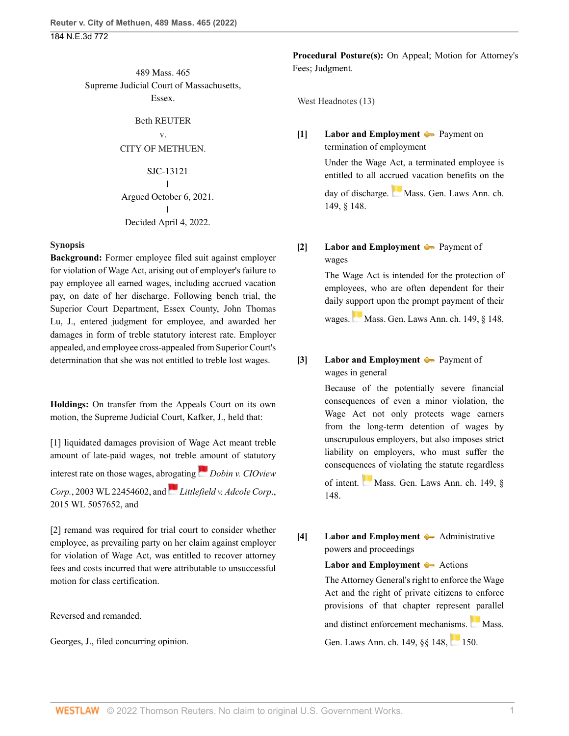489 Mass. 465 Supreme Judicial Court of Massachusetts, Essex.

#### Beth REUTER

### v. CITY OF METHUEN.

### SJC-13121

#### $\mathbf{I}$ | Argued October 6, 2021. | Decided April 4, 2022.

#### **Synopsis**

**Background:** Former employee filed suit against employer for violation of Wage Act, arising out of employer's failure to pay employee all earned wages, including accrued vacation pay, on date of her discharge. Following bench trial, the Superior Court Department, Essex County, [John Thomas](http://www.westlaw.com/Link/Document/FullText?findType=h&pubNum=176284&cite=0287713401&originatingDoc=I7c030660b42711ec99dfd0646e92f5e0&refType=RQ&originationContext=document&vr=3.0&rs=cblt1.0&transitionType=DocumentItem&contextData=(sc.History*oc.Search)) [Lu](http://www.westlaw.com/Link/Document/FullText?findType=h&pubNum=176284&cite=0287713401&originatingDoc=I7c030660b42711ec99dfd0646e92f5e0&refType=RQ&originationContext=document&vr=3.0&rs=cblt1.0&transitionType=DocumentItem&contextData=(sc.History*oc.Search)), J., entered judgment for employee, and awarded her damages in form of treble statutory interest rate. Employer appealed, and employee cross-appealed from Superior Court's determination that she was not entitled to treble lost wages.

**Holdings:** On transfer from the Appeals Court on its own motion, the Supreme Judicial Court, [Kafker](http://www.westlaw.com/Link/Document/FullText?findType=h&pubNum=176284&cite=0218409301&originatingDoc=I7c030660b42711ec99dfd0646e92f5e0&refType=RQ&originationContext=document&vr=3.0&rs=cblt1.0&transitionType=DocumentItem&contextData=(sc.History*oc.Search)), J., held that:

[\[1\]](#page-1-0) liquidated damages provision of Wage Act meant treble amount of late-paid wages, not treble [am](https://1.next.westlaw.com/Link/RelatedInformation/Flag?documentGuid=I97d5927cce1d11d9a489ee624f1f6e1a&transitionType=InlineKeyCiteFlags&originationContext=docHeaderFlag&Rank=0&ppcid=cd739879955c475ab735c9325c947dc5&contextData=(sc.History*oc.Search) )ount of statutory interest rate on those wages, abr[oga](https://1.next.westlaw.com/Link/RelatedInformation/Flag?documentGuid=Ie7a4d9864da911e5b86bd602cb8781fa&transitionType=InlineKeyCiteFlags&originationContext=docHeaderFlag&Rank=0&ppcid=cd739879955c475ab735c9325c947dc5&contextData=(sc.History*oc.Search) )ting *[Dobin v. CIOview](http://www.westlaw.com/Link/Document/FullText?findType=Y&serNum=2003735640&pubNum=0000999&originatingDoc=I7c030660b42711ec99dfd0646e92f5e0&refType=RP&originationContext=document&vr=3.0&rs=cblt1.0&transitionType=DocumentItem&contextData=(sc.History*oc.Search)) Corp.*[, 2003 WL 22454602](http://www.westlaw.com/Link/Document/FullText?findType=Y&serNum=2003735640&pubNum=0000999&originatingDoc=I7c030660b42711ec99dfd0646e92f5e0&refType=RP&originationContext=document&vr=3.0&rs=cblt1.0&transitionType=DocumentItem&contextData=(sc.History*oc.Search)), and *[Littlefield v. Adcole Corp](http://www.westlaw.com/Link/Document/FullText?findType=Y&serNum=2036967137&pubNum=0000999&originatingDoc=I7c030660b42711ec99dfd0646e92f5e0&refType=RP&originationContext=document&vr=3.0&rs=cblt1.0&transitionType=DocumentItem&contextData=(sc.History*oc.Search))*., [2015 WL 5057652,](http://www.westlaw.com/Link/Document/FullText?findType=Y&serNum=2036967137&pubNum=0000999&originatingDoc=I7c030660b42711ec99dfd0646e92f5e0&refType=RP&originationContext=document&vr=3.0&rs=cblt1.0&transitionType=DocumentItem&contextData=(sc.History*oc.Search)) and

[\[2\]](#page-1-1) remand was required for trial court to consider whether employee, as prevailing party on her claim against employer for violation of Wage Act, was entitled to recover attorney fees and costs incurred that were attributable to unsuccessful motion for class certification.

Reversed and remanded.

[Georges](http://www.westlaw.com/Link/Document/FullText?findType=h&pubNum=176284&cite=0522551301&originatingDoc=I7c030660b42711ec99dfd0646e92f5e0&refType=RQ&originationContext=document&vr=3.0&rs=cblt1.0&transitionType=DocumentItem&contextData=(sc.History*oc.Search)), J., filed concurring opinion.

**Procedural Posture(s):** On Appeal; Motion for Attorney's Fees; Judgment.

West Headnotes (13)

## <span id="page-0-0"></span>**[\[1\]](#page-3-0) [Labor and Employment](http://www.westlaw.com/Browse/Home/KeyNumber/231H/View.html?docGuid=I7c030660b42711ec99dfd0646e92f5e0&originationContext=document&vr=3.0&rs=cblt1.0&transitionType=DocumentItem&contextData=(sc.History*oc.Search))**  $\blacklozenge$  [Payment on](http://www.westlaw.com/Browse/Home/KeyNumber/231Hk2182/View.html?docGuid=I7c030660b42711ec99dfd0646e92f5e0&originationContext=document&vr=3.0&rs=cblt1.0&transitionType=DocumentItem&contextData=(sc.History*oc.Search)) [termination of employment](http://www.westlaw.com/Browse/Home/KeyNumber/231Hk2182/View.html?docGuid=I7c030660b42711ec99dfd0646e92f5e0&originationContext=document&vr=3.0&rs=cblt1.0&transitionType=DocumentItem&contextData=(sc.History*oc.Search))

Under the Wage Act, a terminated employee is entitled to all accrued vacation benefits on the day of discharge. [Mass. Gen. Laws Ann. ch.](http://www.westlaw.com/Link/Document/FullText?findType=L&pubNum=1000042&cite=MAST149S148&originatingDoc=I7c030660b42711ec99dfd0646e92f5e0&refType=LQ&originationContext=document&vr=3.0&rs=cblt1.0&transitionType=DocumentItem&contextData=(sc.History*oc.Search)) [149, § 148](http://www.westlaw.com/Link/Document/FullText?findType=L&pubNum=1000042&cite=MAST149S148&originatingDoc=I7c030660b42711ec99dfd0646e92f5e0&refType=LQ&originationContext=document&vr=3.0&rs=cblt1.0&transitionType=DocumentItem&contextData=(sc.History*oc.Search)).

# <span id="page-0-1"></span>**[\[2\]](#page-3-1) [Labor and Employment](http://www.westlaw.com/Browse/Home/KeyNumber/231H/View.html?docGuid=I7c030660b42711ec99dfd0646e92f5e0&originationContext=document&vr=3.0&rs=cblt1.0&transitionType=DocumentItem&contextData=(sc.History*oc.Search))**  $\bullet$  [Payment of](http://www.westlaw.com/Browse/Home/KeyNumber/231Hk2173(2)/View.html?docGuid=I7c030660b42711ec99dfd0646e92f5e0&originationContext=document&vr=3.0&rs=cblt1.0&transitionType=DocumentItem&contextData=(sc.History*oc.Search)) [wages](http://www.westlaw.com/Browse/Home/KeyNumber/231Hk2173(2)/View.html?docGuid=I7c030660b42711ec99dfd0646e92f5e0&originationContext=document&vr=3.0&rs=cblt1.0&transitionType=DocumentItem&contextData=(sc.History*oc.Search))

The Wage Act is intended for the protection of employees, who are often dependent for their daily support upon the prompt payment of their

wages.[Mass. Gen. Laws Ann. ch. 149, § 148](http://www.westlaw.com/Link/Document/FullText?findType=L&pubNum=1000042&cite=MAST149S148&originatingDoc=I7c030660b42711ec99dfd0646e92f5e0&refType=LQ&originationContext=document&vr=3.0&rs=cblt1.0&transitionType=DocumentItem&contextData=(sc.History*oc.Search)).

## <span id="page-0-2"></span>**[\[3\]](#page-3-2) [Labor and Employment](http://www.westlaw.com/Browse/Home/KeyNumber/231H/View.html?docGuid=I7c030660b42711ec99dfd0646e92f5e0&originationContext=document&vr=3.0&rs=cblt1.0&transitionType=DocumentItem&contextData=(sc.History*oc.Search))**  $\blacklozenge$  **Payment** of [wages in general](http://www.westlaw.com/Browse/Home/KeyNumber/231Hk2178/View.html?docGuid=I7c030660b42711ec99dfd0646e92f5e0&originationContext=document&vr=3.0&rs=cblt1.0&transitionType=DocumentItem&contextData=(sc.History*oc.Search))

Because of the potentially severe financial consequences of even a minor violation, the Wage Act not only protects wage earners from the long-term detention of wages by unscrupulous employers, but also imposes strict liability on employers, who must suffer the consequences of violating the statute regardless

of intent. [Mass. Gen. Laws Ann. ch. 149, §](http://www.westlaw.com/Link/Document/FullText?findType=L&pubNum=1000042&cite=MAST149S148&originatingDoc=I7c030660b42711ec99dfd0646e92f5e0&refType=LQ&originationContext=document&vr=3.0&rs=cblt1.0&transitionType=DocumentItem&contextData=(sc.History*oc.Search)) [148](http://www.westlaw.com/Link/Document/FullText?findType=L&pubNum=1000042&cite=MAST149S148&originatingDoc=I7c030660b42711ec99dfd0646e92f5e0&refType=LQ&originationContext=document&vr=3.0&rs=cblt1.0&transitionType=DocumentItem&contextData=(sc.History*oc.Search)).

## <span id="page-0-3"></span>**[\[4\]](#page-3-3) [Labor and Employment](http://www.westlaw.com/Browse/Home/KeyNumber/231H/View.html?docGuid=I7c030660b42711ec99dfd0646e92f5e0&originationContext=document&vr=3.0&rs=cblt1.0&transitionType=DocumentItem&contextData=(sc.History*oc.Search))**  $\rightarrow$  [Administrative](http://www.westlaw.com/Browse/Home/KeyNumber/231Hk2191/View.html?docGuid=I7c030660b42711ec99dfd0646e92f5e0&originationContext=document&vr=3.0&rs=cblt1.0&transitionType=DocumentItem&contextData=(sc.History*oc.Search)) [powers and proceedings](http://www.westlaw.com/Browse/Home/KeyNumber/231Hk2191/View.html?docGuid=I7c030660b42711ec99dfd0646e92f5e0&originationContext=document&vr=3.0&rs=cblt1.0&transitionType=DocumentItem&contextData=(sc.History*oc.Search))

### **[Labor and Employment](http://www.westlaw.com/Browse/Home/KeyNumber/231H/View.html?docGuid=I7c030660b42711ec99dfd0646e92f5e0&originationContext=document&vr=3.0&rs=cblt1.0&transitionType=DocumentItem&contextData=(sc.History*oc.Search))**  $\rightarrow$  [Actions](http://www.westlaw.com/Browse/Home/KeyNumber/231Hk2192/View.html?docGuid=I7c030660b42711ec99dfd0646e92f5e0&originationContext=document&vr=3.0&rs=cblt1.0&transitionType=DocumentItem&contextData=(sc.History*oc.Search))

The Attorney General's right to enforce the Wage Act and the right of private citizens to enforce provisions of that chapter represent parallel and distinct enforcement mechanisms. [Mass.](http://www.westlaw.com/Link/Document/FullText?findType=L&pubNum=1000042&cite=MAST149S148&originatingDoc=I7c030660b42711ec99dfd0646e92f5e0&refType=LQ&originationContext=document&vr=3.0&rs=cblt1.0&transitionType=DocumentItem&contextData=(sc.History*oc.Search)) Gen.Laws Ann. ch. 149,  $\S$ § 148,  $150$ .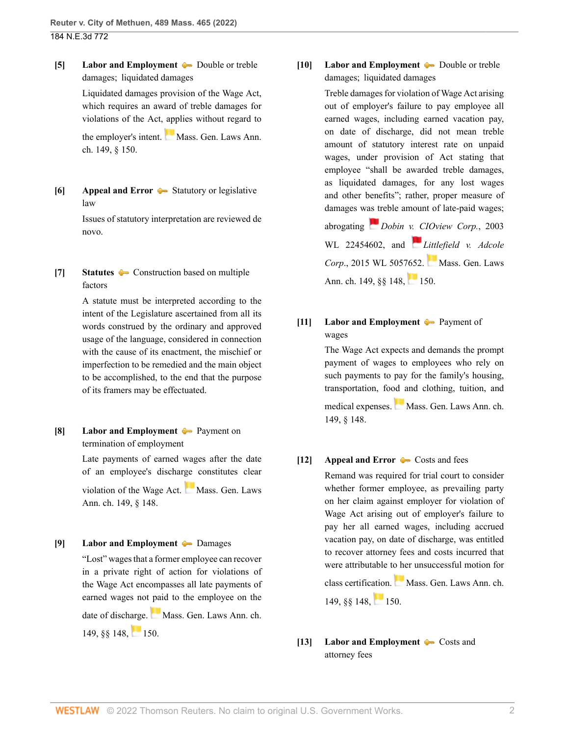<span id="page-1-2"></span>**[\[5\]](#page-4-0) [Labor and Employment](http://www.westlaw.com/Browse/Home/KeyNumber/231H/View.html?docGuid=I7c030660b42711ec99dfd0646e92f5e0&originationContext=document&vr=3.0&rs=cblt1.0&transitionType=DocumentItem&contextData=(sc.History*oc.Search))**  $\rightarrow$  [Double or treble](http://www.westlaw.com/Browse/Home/KeyNumber/231Hk2202(3)/View.html?docGuid=I7c030660b42711ec99dfd0646e92f5e0&originationContext=document&vr=3.0&rs=cblt1.0&transitionType=DocumentItem&contextData=(sc.History*oc.Search)) [damages;  liquidated damages](http://www.westlaw.com/Browse/Home/KeyNumber/231Hk2202(3)/View.html?docGuid=I7c030660b42711ec99dfd0646e92f5e0&originationContext=document&vr=3.0&rs=cblt1.0&transitionType=DocumentItem&contextData=(sc.History*oc.Search))

> Liquidated damages provision of the Wage Act, which requires an award of treble damages for violations of the Act, applies without regard to

> the employer's intent. [Mass. Gen. Laws Ann.](http://www.westlaw.com/Link/Document/FullText?findType=L&pubNum=1000042&cite=MAST149S150&originatingDoc=I7c030660b42711ec99dfd0646e92f5e0&refType=LQ&originationContext=document&vr=3.0&rs=cblt1.0&transitionType=DocumentItem&contextData=(sc.History*oc.Search)) [ch. 149, § 150](http://www.westlaw.com/Link/Document/FullText?findType=L&pubNum=1000042&cite=MAST149S150&originatingDoc=I7c030660b42711ec99dfd0646e92f5e0&refType=LQ&originationContext=document&vr=3.0&rs=cblt1.0&transitionType=DocumentItem&contextData=(sc.History*oc.Search)).

<span id="page-1-3"></span>**[\[6\]](#page-4-1) [Appeal and Error](http://www.westlaw.com/Browse/Home/KeyNumber/30/View.html?docGuid=I7c030660b42711ec99dfd0646e92f5e0&originationContext=document&vr=3.0&rs=cblt1.0&transitionType=DocumentItem&contextData=(sc.History*oc.Search))** [Statutory or legislative](http://www.westlaw.com/Browse/Home/KeyNumber/30k3173/View.html?docGuid=I7c030660b42711ec99dfd0646e92f5e0&originationContext=document&vr=3.0&rs=cblt1.0&transitionType=DocumentItem&contextData=(sc.History*oc.Search)) [law](http://www.westlaw.com/Browse/Home/KeyNumber/30k3173/View.html?docGuid=I7c030660b42711ec99dfd0646e92f5e0&originationContext=document&vr=3.0&rs=cblt1.0&transitionType=DocumentItem&contextData=(sc.History*oc.Search))

> Issues of statutory interpretation are reviewed de novo.

<span id="page-1-4"></span>**[\[7\]](#page-4-2) [Statutes](http://www.westlaw.com/Browse/Home/KeyNumber/361/View.html?docGuid=I7c030660b42711ec99dfd0646e92f5e0&originationContext=document&vr=3.0&rs=cblt1.0&transitionType=DocumentItem&contextData=(sc.History*oc.Search))**  $\leftarrow$  [Construction based on multiple](http://www.westlaw.com/Browse/Home/KeyNumber/361k1082/View.html?docGuid=I7c030660b42711ec99dfd0646e92f5e0&originationContext=document&vr=3.0&rs=cblt1.0&transitionType=DocumentItem&contextData=(sc.History*oc.Search)) [factors](http://www.westlaw.com/Browse/Home/KeyNumber/361k1082/View.html?docGuid=I7c030660b42711ec99dfd0646e92f5e0&originationContext=document&vr=3.0&rs=cblt1.0&transitionType=DocumentItem&contextData=(sc.History*oc.Search))

> A statute must be interpreted according to the intent of the Legislature ascertained from all its words construed by the ordinary and approved usage of the language, considered in connection with the cause of its enactment, the mischief or imperfection to be remedied and the main object to be accomplished, to the end that the purpose of its framers may be effectuated.

<span id="page-1-5"></span>**[\[8\]](#page-4-3) [Labor and Employment](http://www.westlaw.com/Browse/Home/KeyNumber/231H/View.html?docGuid=I7c030660b42711ec99dfd0646e92f5e0&originationContext=document&vr=3.0&rs=cblt1.0&transitionType=DocumentItem&contextData=(sc.History*oc.Search)) [Payment on](http://www.westlaw.com/Browse/Home/KeyNumber/231Hk2182/View.html?docGuid=I7c030660b42711ec99dfd0646e92f5e0&originationContext=document&vr=3.0&rs=cblt1.0&transitionType=DocumentItem&contextData=(sc.History*oc.Search))** [termination of employment](http://www.westlaw.com/Browse/Home/KeyNumber/231Hk2182/View.html?docGuid=I7c030660b42711ec99dfd0646e92f5e0&originationContext=document&vr=3.0&rs=cblt1.0&transitionType=DocumentItem&contextData=(sc.History*oc.Search))

> Late payments of earned wages after the date of an employee's discharge constitutes clear

> violation of the Wage Act. [Mass. Gen. Laws](http://www.westlaw.com/Link/Document/FullText?findType=L&pubNum=1000042&cite=MAST149S148&originatingDoc=I7c030660b42711ec99dfd0646e92f5e0&refType=LQ&originationContext=document&vr=3.0&rs=cblt1.0&transitionType=DocumentItem&contextData=(sc.History*oc.Search)) [Ann. ch. 149, § 148.](http://www.westlaw.com/Link/Document/FullText?findType=L&pubNum=1000042&cite=MAST149S148&originatingDoc=I7c030660b42711ec99dfd0646e92f5e0&refType=LQ&originationContext=document&vr=3.0&rs=cblt1.0&transitionType=DocumentItem&contextData=(sc.History*oc.Search))

<span id="page-1-6"></span>**[\[9\]](#page-4-4) [Labor and Employment](http://www.westlaw.com/Browse/Home/KeyNumber/231H/View.html?docGuid=I7c030660b42711ec99dfd0646e92f5e0&originationContext=document&vr=3.0&rs=cblt1.0&transitionType=DocumentItem&contextData=(sc.History*oc.Search)) [Damages](http://www.westlaw.com/Browse/Home/KeyNumber/231Hk2202/View.html?docGuid=I7c030660b42711ec99dfd0646e92f5e0&originationContext=document&vr=3.0&rs=cblt1.0&transitionType=DocumentItem&contextData=(sc.History*oc.Search))** 

"Lost" wages that a former employee can recover in a private right of action for violations of the Wage Act encompasses all late payments of earned wages not paid to the employee on the date of discharge. [Mass. Gen. Laws Ann. ch.](http://www.westlaw.com/Link/Document/FullText?findType=L&pubNum=1000042&cite=MAST149S148&originatingDoc=I7c030660b42711ec99dfd0646e92f5e0&refType=LQ&originationContext=document&vr=3.0&rs=cblt1.0&transitionType=DocumentItem&contextData=(sc.History*oc.Search))  $149, §§ 148, 150.$  $149, §§ 148, 150.$  $149, §§ 148, 150.$ 

<span id="page-1-0"></span>**[\[10\]](#page-5-0) [Labor and Employment](http://www.westlaw.com/Browse/Home/KeyNumber/231H/View.html?docGuid=I7c030660b42711ec99dfd0646e92f5e0&originationContext=document&vr=3.0&rs=cblt1.0&transitionType=DocumentItem&contextData=(sc.History*oc.Search))**  $\rightarrow$  [Double or treble](http://www.westlaw.com/Browse/Home/KeyNumber/231Hk2202(3)/View.html?docGuid=I7c030660b42711ec99dfd0646e92f5e0&originationContext=document&vr=3.0&rs=cblt1.0&transitionType=DocumentItem&contextData=(sc.History*oc.Search)) [damages;  liquidated damages](http://www.westlaw.com/Browse/Home/KeyNumber/231Hk2202(3)/View.html?docGuid=I7c030660b42711ec99dfd0646e92f5e0&originationContext=document&vr=3.0&rs=cblt1.0&transitionType=DocumentItem&contextData=(sc.History*oc.Search))

> Treble damages for violation of Wage Act arising out of employer's failure to pay employee all earned wages, including earned vacation pay, on date of discharge, did not mean treble amount of statutory interest rate on unpaid wages, under provision of Act stating that employee "shall be awarded treble damages, as liquidated damages, for any lost wages and other benefits"; rather, proper measure of damages w[as tr](https://1.next.westlaw.com/Link/RelatedInformation/Flag?documentGuid=I97d5927cce1d11d9a489ee624f1f6e1a&transitionType=InlineKeyCiteFlags&originationContext=docHeaderFlag&Rank=0&ppcid=cd739879955c475ab735c9325c947dc5&contextData=(sc.History*oc.Search) )eble amount of late-paid wages;

> abrogating *[Dobin v. CIOview Corp.](http://www.westlaw.com/Link/Document/FullText?findType=Y&serNum=2003735640&pubNum=0000999&originatingDoc=I7c030660b42711ec99dfd0646e92f5e0&refType=RP&originationContext=document&vr=3.0&rs=cblt1.0&transitionType=DocumentItem&contextData=(sc.History*oc.Search))*, 2003 [WL 22454602](http://www.westlaw.com/Link/Document/FullText?findType=Y&serNum=2003735640&pubNum=0000999&originatingDoc=I7c030660b42711ec99dfd0646e92f5e0&refType=RP&originationContext=document&vr=3.0&rs=cblt1.0&transitionType=DocumentItem&contextData=(sc.History*oc.Search)), and *[Littlefield v. Adcole](http://www.westlaw.com/Link/Document/FullText?findType=Y&serNum=2036967137&pubNum=0000999&originatingDoc=I7c030660b42711ec99dfd0646e92f5e0&refType=RP&originationContext=document&vr=3.0&rs=cblt1.0&transitionType=DocumentItem&contextData=(sc.History*oc.Search)) Corp.*, 2015 WL 5057652. [Mass. Gen. Laws](http://www.westlaw.com/Link/Document/FullText?findType=L&pubNum=1000042&cite=MAST149S148&originatingDoc=I7c030660b42711ec99dfd0646e92f5e0&refType=LQ&originationContext=document&vr=3.0&rs=cblt1.0&transitionType=DocumentItem&contextData=(sc.History*oc.Search)) Ann. ch. 149,  $\frac{88}{148}$ , [150](http://www.westlaw.com/Link/Document/FullText?findType=L&pubNum=1000042&cite=MAST149S150&originatingDoc=I7c030660b42711ec99dfd0646e92f5e0&refType=LQ&originationContext=document&vr=3.0&rs=cblt1.0&transitionType=DocumentItem&contextData=(sc.History*oc.Search)).

## <span id="page-1-7"></span>**[\[11\]](#page-5-1) [Labor and Employment](http://www.westlaw.com/Browse/Home/KeyNumber/231H/View.html?docGuid=I7c030660b42711ec99dfd0646e92f5e0&originationContext=document&vr=3.0&rs=cblt1.0&transitionType=DocumentItem&contextData=(sc.History*oc.Search))**  $\blacklozenge$  [Payment of](http://www.westlaw.com/Browse/Home/KeyNumber/231Hk2173(2)/View.html?docGuid=I7c030660b42711ec99dfd0646e92f5e0&originationContext=document&vr=3.0&rs=cblt1.0&transitionType=DocumentItem&contextData=(sc.History*oc.Search)) [wages](http://www.westlaw.com/Browse/Home/KeyNumber/231Hk2173(2)/View.html?docGuid=I7c030660b42711ec99dfd0646e92f5e0&originationContext=document&vr=3.0&rs=cblt1.0&transitionType=DocumentItem&contextData=(sc.History*oc.Search))

The Wage Act expects and demands the prompt payment of wages to employees who rely on such payments to pay for the family's housing, transportation, food and clothing, tuition, and medical expenses.[Mass. Gen. Laws Ann. ch.](http://www.westlaw.com/Link/Document/FullText?findType=L&pubNum=1000042&cite=MAST149S148&originatingDoc=I7c030660b42711ec99dfd0646e92f5e0&refType=LQ&originationContext=document&vr=3.0&rs=cblt1.0&transitionType=DocumentItem&contextData=(sc.History*oc.Search)) [149, § 148](http://www.westlaw.com/Link/Document/FullText?findType=L&pubNum=1000042&cite=MAST149S148&originatingDoc=I7c030660b42711ec99dfd0646e92f5e0&refType=LQ&originationContext=document&vr=3.0&rs=cblt1.0&transitionType=DocumentItem&contextData=(sc.History*oc.Search)).

### <span id="page-1-1"></span>**[\[12\]](#page-6-0) [Appeal and Error](http://www.westlaw.com/Browse/Home/KeyNumber/30/View.html?docGuid=I7c030660b42711ec99dfd0646e92f5e0&originationContext=document&vr=3.0&rs=cblt1.0&transitionType=DocumentItem&contextData=(sc.History*oc.Search))** [Costs and fees](http://www.westlaw.com/Browse/Home/KeyNumber/30k4751(3)/View.html?docGuid=I7c030660b42711ec99dfd0646e92f5e0&originationContext=document&vr=3.0&rs=cblt1.0&transitionType=DocumentItem&contextData=(sc.History*oc.Search))

Remand was required for trial court to consider whether former employee, as prevailing party on her claim against employer for violation of Wage Act arising out of employer's failure to pay her all earned wages, including accrued vacation pay, on date of discharge, was entitled to recover attorney fees and costs incurred that were attributable to her unsuccessful motion for

class certification.[Mass. Gen. Laws Ann. ch.](http://www.westlaw.com/Link/Document/FullText?findType=L&pubNum=1000042&cite=MAST149S148&originatingDoc=I7c030660b42711ec99dfd0646e92f5e0&refType=LQ&originationContext=document&vr=3.0&rs=cblt1.0&transitionType=DocumentItem&contextData=(sc.History*oc.Search))  $149.$   $\frac{88}{148}$ , [150.](http://www.westlaw.com/Link/Document/FullText?findType=L&pubNum=1000042&cite=MAST149S150&originatingDoc=I7c030660b42711ec99dfd0646e92f5e0&refType=LQ&originationContext=document&vr=3.0&rs=cblt1.0&transitionType=DocumentItem&contextData=(sc.History*oc.Search))

<span id="page-1-8"></span>**[\[13\]](#page-7-0) [Labor and Employment](http://www.westlaw.com/Browse/Home/KeyNumber/231H/View.html?docGuid=I7c030660b42711ec99dfd0646e92f5e0&originationContext=document&vr=3.0&rs=cblt1.0&transitionType=DocumentItem&contextData=(sc.History*oc.Search))**  $\blacklozenge$  [Costs and](http://www.westlaw.com/Browse/Home/KeyNumber/231Hk2204/View.html?docGuid=I7c030660b42711ec99dfd0646e92f5e0&originationContext=document&vr=3.0&rs=cblt1.0&transitionType=DocumentItem&contextData=(sc.History*oc.Search)) [attorney fees](http://www.westlaw.com/Browse/Home/KeyNumber/231Hk2204/View.html?docGuid=I7c030660b42711ec99dfd0646e92f5e0&originationContext=document&vr=3.0&rs=cblt1.0&transitionType=DocumentItem&contextData=(sc.History*oc.Search))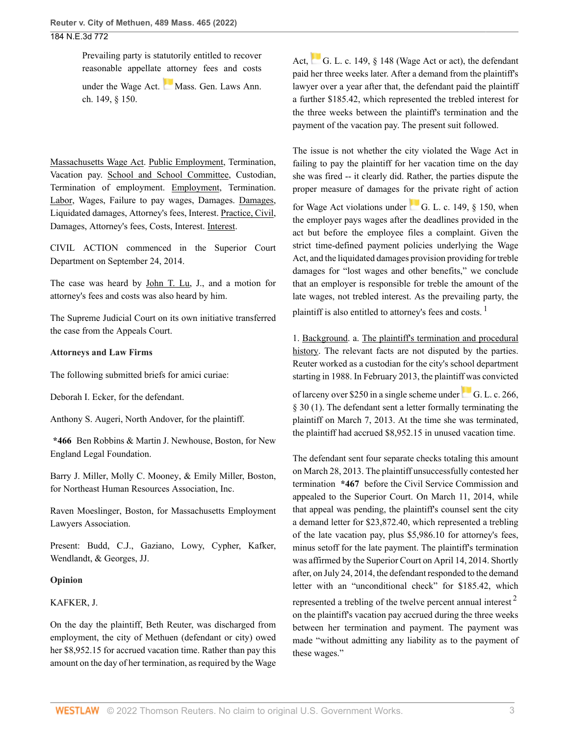Prevailing party is statutorily entitled to recover reasonable appellate attorney fees and costs under the Wage Act. [Mass. Gen. Laws Ann.](http://www.westlaw.com/Link/Document/FullText?findType=L&pubNum=1000042&cite=MAST149S150&originatingDoc=I7c030660b42711ec99dfd0646e92f5e0&refType=LQ&originationContext=document&vr=3.0&rs=cblt1.0&transitionType=DocumentItem&contextData=(sc.History*oc.Search)) [ch. 149, § 150](http://www.westlaw.com/Link/Document/FullText?findType=L&pubNum=1000042&cite=MAST149S150&originatingDoc=I7c030660b42711ec99dfd0646e92f5e0&refType=LQ&originationContext=document&vr=3.0&rs=cblt1.0&transitionType=DocumentItem&contextData=(sc.History*oc.Search)).

Massachusetts Wage Act. Public Employment, Termination, Vacation pay. School and School Committee, Custodian, Termination of employment. Employment, Termination. Labor, Wages, Failure to pay wages, Damages. Damages, Liquidated damages, Attorney's fees, Interest. Practice, Civil, Damages, Attorney's fees, Costs, Interest. Interest.

CIVIL ACTION commenced in the Superior Court Department on September 24, 2014.

The case was heard by [John T. Lu](http://www.westlaw.com/Link/Document/FullText?findType=h&pubNum=176284&cite=0287713401&originatingDoc=I7c030660b42711ec99dfd0646e92f5e0&refType=RQ&originationContext=document&vr=3.0&rs=cblt1.0&transitionType=DocumentItem&contextData=(sc.History*oc.Search)), J., and a motion for attorney's fees and costs was also heard by him.

The Supreme Judicial Court on its own initiative transferred the case from the Appeals Court.

#### **Attorneys and Law Firms**

The following submitted briefs for amici curiae:

[Deborah I. Ecker,](http://www.westlaw.com/Link/Document/FullText?findType=h&pubNum=176284&cite=0195779001&originatingDoc=I7c030660b42711ec99dfd0646e92f5e0&refType=RQ&originationContext=document&vr=3.0&rs=cblt1.0&transitionType=DocumentItem&contextData=(sc.History*oc.Search)) for the defendant.

[Anthony S. Augeri,](http://www.westlaw.com/Link/Document/FullText?findType=h&pubNum=176284&cite=0322060501&originatingDoc=I7c030660b42711ec99dfd0646e92f5e0&refType=RQ&originationContext=document&vr=3.0&rs=cblt1.0&transitionType=DocumentItem&contextData=(sc.History*oc.Search)) North Andover, for the plaintiff.

**\*466** [Ben Robbins](http://www.westlaw.com/Link/Document/FullText?findType=h&pubNum=176284&cite=0126480201&originatingDoc=I7c030660b42711ec99dfd0646e92f5e0&refType=RQ&originationContext=document&vr=3.0&rs=cblt1.0&transitionType=DocumentItem&contextData=(sc.History*oc.Search)) & [Martin J. Newhouse](http://www.westlaw.com/Link/Document/FullText?findType=h&pubNum=176284&cite=0196244001&originatingDoc=I7c030660b42711ec99dfd0646e92f5e0&refType=RQ&originationContext=document&vr=3.0&rs=cblt1.0&transitionType=DocumentItem&contextData=(sc.History*oc.Search)), Boston, for New England Legal Foundation.

[Barry J. Miller](http://www.westlaw.com/Link/Document/FullText?findType=h&pubNum=176284&cite=0352221101&originatingDoc=I7c030660b42711ec99dfd0646e92f5e0&refType=RQ&originationContext=document&vr=3.0&rs=cblt1.0&transitionType=DocumentItem&contextData=(sc.History*oc.Search)), [Molly C. Mooney](http://www.westlaw.com/Link/Document/FullText?findType=h&pubNum=176284&cite=0498963599&originatingDoc=I7c030660b42711ec99dfd0646e92f5e0&refType=RQ&originationContext=document&vr=3.0&rs=cblt1.0&transitionType=DocumentItem&contextData=(sc.History*oc.Search)), & Emily Miller, Boston, for Northeast Human Resources Association, Inc.

[Raven Moeslinger,](http://www.westlaw.com/Link/Document/FullText?findType=h&pubNum=176284&cite=0484492601&originatingDoc=I7c030660b42711ec99dfd0646e92f5e0&refType=RQ&originationContext=document&vr=3.0&rs=cblt1.0&transitionType=DocumentItem&contextData=(sc.History*oc.Search)) Boston, for Massachusetts Employment Lawyers Association.

Present: [Budd,](http://www.westlaw.com/Link/Document/FullText?findType=h&pubNum=176284&cite=0430310801&originatingDoc=I7c030660b42711ec99dfd0646e92f5e0&refType=RQ&originationContext=document&vr=3.0&rs=cblt1.0&transitionType=DocumentItem&contextData=(sc.History*oc.Search)) C.J., Gaziano, Lowy, Cypher, Kafker, Wendlandt, & [Georges](http://www.westlaw.com/Link/Document/FullText?findType=h&pubNum=176284&cite=0522551301&originatingDoc=I7c030660b42711ec99dfd0646e92f5e0&refType=RQ&originationContext=document&vr=3.0&rs=cblt1.0&transitionType=DocumentItem&contextData=(sc.History*oc.Search)), JJ.

#### **Opinion**

### [KAFKER,](http://www.westlaw.com/Link/Document/FullText?findType=h&pubNum=176284&cite=0218409301&originatingDoc=I7c030660b42711ec99dfd0646e92f5e0&refType=RQ&originationContext=document&vr=3.0&rs=cblt1.0&transitionType=DocumentItem&contextData=(sc.History*oc.Search)) J.

On the day the plaintiff, Beth Reuter, was discharged from employment, the city of Methuen (defendant or city) owed her \$8,952.15 for accrued vacation time. Rather than pay this amount on the day of her termination, as required by the Wage Act, [G. L. c. 149, § 148](http://www.westlaw.com/Link/Document/FullText?findType=L&pubNum=1000042&cite=MAST149S148&originatingDoc=I7c030660b42711ec99dfd0646e92f5e0&refType=LQ&originationContext=document&vr=3.0&rs=cblt1.0&transitionType=DocumentItem&contextData=(sc.History*oc.Search)) (Wage Act or act), the defendant paid her three weeks later. After a demand from the plaintiff's lawyer over a year after that, the defendant paid the plaintiff a further \$185.42, which represented the trebled interest for the three weeks between the plaintiff's termination and the payment of the vacation pay. The present suit followed.

The issue is not whether the city violated the Wage Act in failing to pay the plaintiff for her vacation time on the day she was fired -- it clearly did. Rather, the parties dispute the proper measure of damages for the private right of action

for Wage Act violations under G. L. c. 149,  $\S$  150, when the employer pays wages after the deadlines provided in the act but before the employee files a complaint. Given the strict time-defined payment policies underlying the Wage Act, and the liquidated damages provision providing for treble damages for "lost wages and other benefits," we conclude that an employer is responsible for treble the amount of the late wages, not trebled interest. As the prevailing party, the plaintiff is also entitled to attorney's fees and costs.  $<sup>1</sup>$  $<sup>1</sup>$  $<sup>1</sup>$ </sup>

<span id="page-2-0"></span>1. Background. a. The plaintiff's termination and procedural history. The relevant facts are not disputed by the parties. Reuter worked as a custodian for the city's school department starting in 1988. In February 2013, the plaintiff was convicted

of larceny over \$250 in a single scheme under[G. L. c. 266,](http://www.westlaw.com/Link/Document/FullText?findType=L&pubNum=1000042&cite=MAST266S30&originatingDoc=I7c030660b42711ec99dfd0646e92f5e0&refType=SP&originationContext=document&vr=3.0&rs=cblt1.0&transitionType=DocumentItem&contextData=(sc.History*oc.Search)#co_pp_f1c50000821b0) [§ 30 \(1\).](http://www.westlaw.com/Link/Document/FullText?findType=L&pubNum=1000042&cite=MAST266S30&originatingDoc=I7c030660b42711ec99dfd0646e92f5e0&refType=SP&originationContext=document&vr=3.0&rs=cblt1.0&transitionType=DocumentItem&contextData=(sc.History*oc.Search)#co_pp_f1c50000821b0) The defendant sent a letter formally terminating the plaintiff on March 7, 2013. At the time she was terminated, the plaintiff had accrued \$8,952.15 in unused vacation time.

<span id="page-2-1"></span>The defendant sent four separate checks totaling this amount on March 28, 2013. The plaintiff unsuccessfully contested her termination **\*467** before the Civil Service Commission and appealed to the Superior Court. On March 11, 2014, while that appeal was pending, the plaintiff's counsel sent the city a demand letter for \$23,872.40, which represented a trebling of the late vacation pay, plus \$5,986.10 for attorney's fees, minus setoff for the late payment. The plaintiff's termination was affirmed by the Superior Court on April 14, 2014. Shortly after, on July 24, 2014, the defendant responded to the demand letter with an "unconditional check" for \$185.42, which represented a trebling of the twelve percent annual interest<sup>[2](#page-9-1)</sup> on the plaintiff's vacation pay accrued during the three weeks between her termination and payment. The payment was made "without admitting any liability as to the payment of these wages."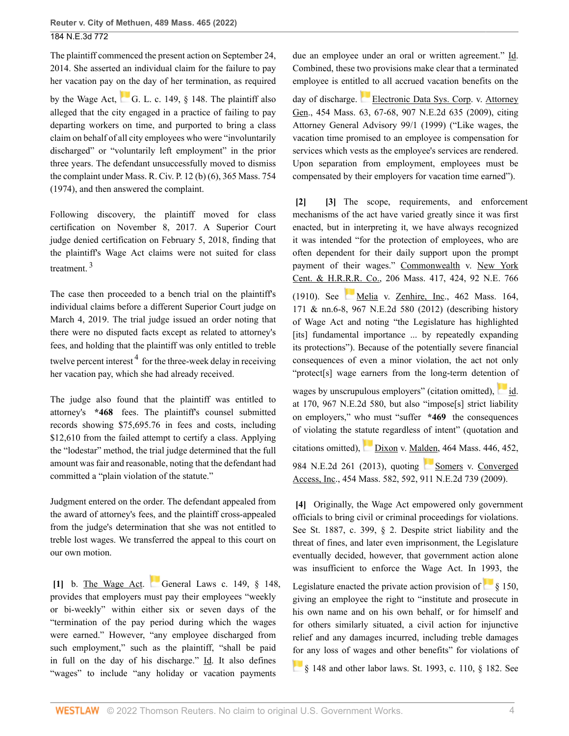The plaintiff commenced the present action on September 24, 2014. She asserted an individual claim for the failure to pay her vacation pay on the day of her termination, as required

by the Wage Act, G. L. c. 149,  $\S$  148. The plaintiff also alleged that the city engaged in a practice of failing to pay departing workers on time, and purported to bring a class claim on behalf of all city employees who were "involuntarily discharged" or "voluntarily left employment" in the prior three years. The defendant unsuccessfully moved to dismiss the complaint under [Mass. R. Civ. P. 12 \(b\) \(6\)](http://www.westlaw.com/Link/Document/FullText?findType=L&pubNum=1005735&cite=MASTRCPR12&originatingDoc=I7c030660b42711ec99dfd0646e92f5e0&refType=LQ&originationContext=document&vr=3.0&rs=cblt1.0&transitionType=DocumentItem&contextData=(sc.History*oc.Search)), 365 Mass. 754 (1974), and then answered the complaint.

Following discovery, the plaintiff moved for class certification on November 8, 2017. A Superior Court judge denied certification on February 5, 2018, finding that the plaintiff's Wage Act claims were not suited for class treatment. [3](#page-9-2)

<span id="page-3-4"></span>The case then proceeded to a bench trial on the plaintiff's individual claims before a different Superior Court judge on March 4, 2019. The trial judge issued an order noting that there were no disputed facts except as related to attorney's fees, and holding that the plaintiff was only entitled to treble twelve percent interest <sup>[4](#page-9-3)</sup> for the three-week delay in receiving her vacation pay, which she had already received.

<span id="page-3-5"></span>The judge also found that the plaintiff was entitled to attorney's **\*468** fees. The plaintiff's counsel submitted records showing \$75,695.76 in fees and costs, including \$12,610 from the failed attempt to certify a class. Applying the "lodestar" method, the trial judge determined that the full amount was fair and reasonable, noting that the defendant had committed a "plain violation of the statute."

Judgment entered on the order. The defendant appealed from the award of attorney's fees, and the plaintiff cross-appealed from the judge's determination that she was not entitled to treble lost wages. We transferred the appeal to this court on our own motion.

<span id="page-3-0"></span>**[\[1\]](#page-0-0)** b. The Wage Act. [General Laws c. 149, § 148](http://www.westlaw.com/Link/Document/FullText?findType=L&pubNum=1000042&cite=MAST149S148&originatingDoc=I7c030660b42711ec99dfd0646e92f5e0&refType=LQ&originationContext=document&vr=3.0&rs=cblt1.0&transitionType=DocumentItem&contextData=(sc.History*oc.Search)), provides that employers must pay their employees "weekly or bi-weekly" within either six or seven days of the "termination of the pay period during which the wages were earned." However, "any employee discharged from such employment," such as the plaintiff, "shall be paid in full on the day of his discharge." Id. It also defines "wages" to include "any holiday or vacation payments"

due an employee under an oral or written agreement." Id. Combined, these two provisions make clear that a terminated employee is entitled to all accrued vacation benefits on the

day of discharge. [Electronic Data Sys. Corp. v. Attorney](http://www.westlaw.com/Link/Document/FullText?findType=Y&serNum=2019076192&pubNum=0000521&originatingDoc=I7c030660b42711ec99dfd0646e92f5e0&refType=RP&fi=co_pp_sp_521_67&originationContext=document&vr=3.0&rs=cblt1.0&transitionType=DocumentItem&contextData=(sc.History*oc.Search)#co_pp_sp_521_67) [Gen., 454 Mass. 63, 67-68, 907 N.E.2d 635 \(2009\),](http://www.westlaw.com/Link/Document/FullText?findType=Y&serNum=2019076192&pubNum=0000521&originatingDoc=I7c030660b42711ec99dfd0646e92f5e0&refType=RP&fi=co_pp_sp_521_67&originationContext=document&vr=3.0&rs=cblt1.0&transitionType=DocumentItem&contextData=(sc.History*oc.Search)#co_pp_sp_521_67) citing Attorney General Advisory 99/1 (1999) ("Like wages, the vacation time promised to an employee is compensation for services which vests as the employee's services are rendered. Upon separation from employment, employees must be compensated by their employers for vacation time earned").

<span id="page-3-2"></span><span id="page-3-1"></span>**[\[2\]](#page-0-1) [\[3\]](#page-0-2)** The scope, requirements, and enforcement mechanisms of the act have varied greatly since it was first enacted, but in interpreting it, we have always recognized it was intended "for the protection of employees, who are often dependent for their daily support upon the prompt payment of their wages." [Commonwealth v. New York](http://www.westlaw.com/Link/Document/FullText?findType=Y&serNum=1910003045&pubNum=0000521&originatingDoc=I7c030660b42711ec99dfd0646e92f5e0&refType=RP&fi=co_pp_sp_521_424&originationContext=document&vr=3.0&rs=cblt1.0&transitionType=DocumentItem&contextData=(sc.History*oc.Search)#co_pp_sp_521_424) [Cent. & H.R.R.R. Co., 206 Mass. 417, 424, 92 N.E. 766](http://www.westlaw.com/Link/Document/FullText?findType=Y&serNum=1910003045&pubNum=0000521&originatingDoc=I7c030660b42711ec99dfd0646e92f5e0&refType=RP&fi=co_pp_sp_521_424&originationContext=document&vr=3.0&rs=cblt1.0&transitionType=DocumentItem&contextData=(sc.History*oc.Search)#co_pp_sp_521_424) [\(1910\).](http://www.westlaw.com/Link/Document/FullText?findType=Y&serNum=1910003045&pubNum=0000521&originatingDoc=I7c030660b42711ec99dfd0646e92f5e0&refType=RP&fi=co_pp_sp_521_424&originationContext=document&vr=3.0&rs=cblt1.0&transitionType=DocumentItem&contextData=(sc.History*oc.Search)#co_pp_sp_521_424) See [Melia v. Zenhire, Inc., 462 Mass. 164,](http://www.westlaw.com/Link/Document/FullText?findType=Y&serNum=2027635575&pubNum=0000521&originatingDoc=I7c030660b42711ec99dfd0646e92f5e0&refType=RP&fi=co_pp_sp_521_171&originationContext=document&vr=3.0&rs=cblt1.0&transitionType=DocumentItem&contextData=(sc.History*oc.Search)#co_pp_sp_521_171) [171 & nn.6-8, 967 N.E.2d 580 \(2012\)](http://www.westlaw.com/Link/Document/FullText?findType=Y&serNum=2027635575&pubNum=0000521&originatingDoc=I7c030660b42711ec99dfd0646e92f5e0&refType=RP&fi=co_pp_sp_521_171&originationContext=document&vr=3.0&rs=cblt1.0&transitionType=DocumentItem&contextData=(sc.History*oc.Search)#co_pp_sp_521_171) (describing history of Wage Act and noting "the Legislature has highlighted [its] fundamental importance ... by repeatedly expanding its protections"). Because of the potentially severe financial consequences of even a minor violation, the act not only "protect[s] wage earners from the long-term detention of

wages by unscrupulous employers" (citation omitted), [id.](http://www.westlaw.com/Link/Document/FullText?findType=Y&serNum=2027635575&pubNum=0000578&originatingDoc=I7c030660b42711ec99dfd0646e92f5e0&refType=RP&originationContext=document&vr=3.0&rs=cblt1.0&transitionType=DocumentItem&contextData=(sc.History*oc.Search)) [at 170, 967 N.E.2d 580](http://www.westlaw.com/Link/Document/FullText?findType=Y&serNum=2027635575&pubNum=0000578&originatingDoc=I7c030660b42711ec99dfd0646e92f5e0&refType=RP&originationContext=document&vr=3.0&rs=cblt1.0&transitionType=DocumentItem&contextData=(sc.History*oc.Search)), but also "impose[s] strict liability on employers," who must "suffer **\*469** the consequences of violating the statute regardless of intent" (quotation and citations omitted), [Dixon v. Malden, 464 Mass. 446, 452,](http://www.westlaw.com/Link/Document/FullText?findType=Y&serNum=2029964947&pubNum=0000521&originatingDoc=I7c030660b42711ec99dfd0646e92f5e0&refType=RP&fi=co_pp_sp_521_452&originationContext=document&vr=3.0&rs=cblt1.0&transitionType=DocumentItem&contextData=(sc.History*oc.Search)#co_pp_sp_521_452) [984 N.E.2d 261 \(2013\),](http://www.westlaw.com/Link/Document/FullText?findType=Y&serNum=2029964947&pubNum=0000521&originatingDoc=I7c030660b42711ec99dfd0646e92f5e0&refType=RP&fi=co_pp_sp_521_452&originationContext=document&vr=3.0&rs=cblt1.0&transitionType=DocumentItem&contextData=(sc.History*oc.Search)#co_pp_sp_521_452) quoting [Somers v. Converged](http://www.westlaw.com/Link/Document/FullText?findType=Y&serNum=2019650421&pubNum=0000521&originatingDoc=I7c030660b42711ec99dfd0646e92f5e0&refType=RP&fi=co_pp_sp_521_592&originationContext=document&vr=3.0&rs=cblt1.0&transitionType=DocumentItem&contextData=(sc.History*oc.Search)#co_pp_sp_521_592) [Access, Inc., 454 Mass. 582, 592, 911 N.E.2d 739 \(2009\)](http://www.westlaw.com/Link/Document/FullText?findType=Y&serNum=2019650421&pubNum=0000521&originatingDoc=I7c030660b42711ec99dfd0646e92f5e0&refType=RP&fi=co_pp_sp_521_592&originationContext=document&vr=3.0&rs=cblt1.0&transitionType=DocumentItem&contextData=(sc.History*oc.Search)#co_pp_sp_521_592).

<span id="page-3-3"></span>**[\[4\]](#page-0-3)** Originally, the Wage Act empowered only government officials to bring civil or criminal proceedings for violations. See St. 1887, c. 399, § 2. Despite strict liability and the threat of fines, and later even imprisonment, the Legislature eventually decided, however, that government action alone was insufficient to enforce the Wage Act. In 1993, the Legislature enacted the private action provision of  $\frac{1}{8}$  150, giving an employee the right to "institute and prosecute in his own name and on his own behalf, or for himself and for others similarly situated, a civil action for injunctive relief and any damages incurred, including treble damages [for](https://1.next.westlaw.com/Link/RelatedInformation/Flag?documentGuid=N61CA38B0ED8C11DDBBDDD3E9DEA03375&transitionType=InlineKeyCiteFlags&originationContext=docHeaderFlag&Rank=0&ppcid=cd739879955c475ab735c9325c947dc5&contextData=(sc.History*oc.Search) ) any loss of wages and other benefits" for violations of

[§ 148](http://www.westlaw.com/Link/Document/FullText?findType=L&pubNum=1000042&cite=MAST149S148&originatingDoc=I7c030660b42711ec99dfd0646e92f5e0&refType=LQ&originationContext=document&vr=3.0&rs=cblt1.0&transitionType=DocumentItem&contextData=(sc.History*oc.Search)) and other labor laws. St. 1993, c. 110, § 182. See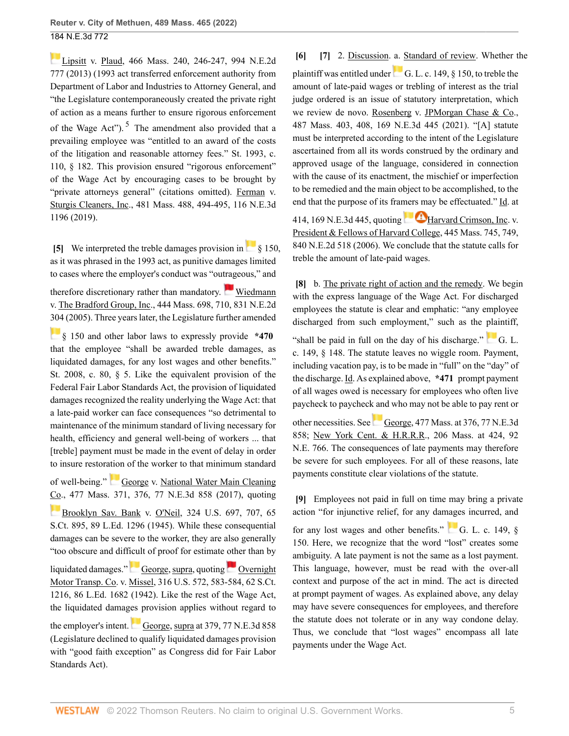<span id="page-4-5"></span>[Lipsitt v. Plaud, 466 Mass. 240, 246-247, 994 N.E.2d](http://www.westlaw.com/Link/Document/FullText?findType=Y&serNum=2031264020&pubNum=0000521&originatingDoc=I7c030660b42711ec99dfd0646e92f5e0&refType=RP&fi=co_pp_sp_521_246&originationContext=document&vr=3.0&rs=cblt1.0&transitionType=DocumentItem&contextData=(sc.History*oc.Search)#co_pp_sp_521_246) [777 \(2013\)](http://www.westlaw.com/Link/Document/FullText?findType=Y&serNum=2031264020&pubNum=0000521&originatingDoc=I7c030660b42711ec99dfd0646e92f5e0&refType=RP&fi=co_pp_sp_521_246&originationContext=document&vr=3.0&rs=cblt1.0&transitionType=DocumentItem&contextData=(sc.History*oc.Search)#co_pp_sp_521_246) (1993 act transferred enforcement authority from Department of Labor and Industries to Attorney General, and "the Legislature contemporaneously created the private right of action as a means further to ensure rigorous enforcement of the Wage Act").  $5$  The amendment also provided that a prevailing employee was "entitled to an award of the costs of the litigation and reasonable attorney fees." St. 1993, c. 110, § 182. This provision ensured "rigorous enforcement" of the Wage Act by encouraging cases to be brought by "private attorneys general" (citations omitted). [Ferman v.](http://www.westlaw.com/Link/Document/FullText?findType=Y&serNum=2047566046&pubNum=0000521&originatingDoc=I7c030660b42711ec99dfd0646e92f5e0&refType=RP&fi=co_pp_sp_521_494&originationContext=document&vr=3.0&rs=cblt1.0&transitionType=DocumentItem&contextData=(sc.History*oc.Search)#co_pp_sp_521_494) [Sturgis Cleaners, Inc., 481 Mass. 488, 494-495, 116 N.E.3d](http://www.westlaw.com/Link/Document/FullText?findType=Y&serNum=2047566046&pubNum=0000521&originatingDoc=I7c030660b42711ec99dfd0646e92f5e0&refType=RP&fi=co_pp_sp_521_494&originationContext=document&vr=3.0&rs=cblt1.0&transitionType=DocumentItem&contextData=(sc.History*oc.Search)#co_pp_sp_521_494) [1196 \(2019\).](http://www.westlaw.com/Link/Document/FullText?findType=Y&serNum=2047566046&pubNum=0000521&originatingDoc=I7c030660b42711ec99dfd0646e92f5e0&refType=RP&fi=co_pp_sp_521_494&originationContext=document&vr=3.0&rs=cblt1.0&transitionType=DocumentItem&contextData=(sc.History*oc.Search)#co_pp_sp_521_494)

<span id="page-4-0"></span>**[\[5\]](#page-1-2)**We interpreted the treble damages provision in [§ 150,](http://www.westlaw.com/Link/Document/FullText?findType=L&pubNum=1000042&cite=MAST149S150&originatingDoc=I7c030660b42711ec99dfd0646e92f5e0&refType=LQ&originationContext=document&vr=3.0&rs=cblt1.0&transitionType=DocumentItem&contextData=(sc.History*oc.Search)) as it was phrased in the 1993 act, as punitive damages limited to cases where the employer's conduct was "outrageous," and

therefore discretionary rather than mandatory. [Wiedmann](http://www.westlaw.com/Link/Document/FullText?findType=Y&serNum=2006974873&pubNum=0000521&originatingDoc=I7c030660b42711ec99dfd0646e92f5e0&refType=RP&fi=co_pp_sp_521_710&originationContext=document&vr=3.0&rs=cblt1.0&transitionType=DocumentItem&contextData=(sc.History*oc.Search)#co_pp_sp_521_710) [v. The Bradford Group, Inc., 444 Mass. 698, 710, 831 N.E.2d](http://www.westlaw.com/Link/Document/FullText?findType=Y&serNum=2006974873&pubNum=0000521&originatingDoc=I7c030660b42711ec99dfd0646e92f5e0&refType=RP&fi=co_pp_sp_521_710&originationContext=document&vr=3.0&rs=cblt1.0&transitionType=DocumentItem&contextData=(sc.History*oc.Search)#co_pp_sp_521_710) [304 \(2005\)](http://www.westlaw.com/Link/Document/FullText?findType=Y&serNum=2006974873&pubNum=0000521&originatingDoc=I7c030660b42711ec99dfd0646e92f5e0&refType=RP&fi=co_pp_sp_521_710&originationContext=document&vr=3.0&rs=cblt1.0&transitionType=DocumentItem&contextData=(sc.History*oc.Search)#co_pp_sp_521_710). Three years later, the Legislature further amended

[§ 150](http://www.westlaw.com/Link/Document/FullText?findType=L&pubNum=1000042&cite=MAST149S150&originatingDoc=I7c030660b42711ec99dfd0646e92f5e0&refType=LQ&originationContext=document&vr=3.0&rs=cblt1.0&transitionType=DocumentItem&contextData=(sc.History*oc.Search)) and other labor laws to expressly provide **\*470** that the employee "shall be awarded treble damages, as liquidated damages, for any lost wages and other benefits." St. 2008, c. 80, § 5. Like the equivalent provision of the Federal Fair Labor Standards Act, the provision of liquidated damages recognized the reality underlying the Wage Act: that a late-paid worker can face consequences "so detrimental to maintenance of the minimum standard of living necessary for health, efficiency and general well-being of workers ... that [treble] payment must be made in the event of delay in order to insure restoration of the worker to that minimum standard

of well-being." [George v. National Water Main Cleaning](http://www.westlaw.com/Link/Document/FullText?findType=Y&serNum=2041956463&pubNum=0000521&originatingDoc=I7c030660b42711ec99dfd0646e92f5e0&refType=RP&fi=co_pp_sp_521_376&originationContext=document&vr=3.0&rs=cblt1.0&transitionType=DocumentItem&contextData=(sc.History*oc.Search)#co_pp_sp_521_376) [Co., 477 Mass. 371, 376, 77 N.E.3d 858 \(2017\),](http://www.westlaw.com/Link/Document/FullText?findType=Y&serNum=2041956463&pubNum=0000521&originatingDoc=I7c030660b42711ec99dfd0646e92f5e0&refType=RP&fi=co_pp_sp_521_376&originationContext=document&vr=3.0&rs=cblt1.0&transitionType=DocumentItem&contextData=(sc.History*oc.Search)#co_pp_sp_521_376) quoting

**[Brooklyn Sav. Bank v. O'Neil, 324 U.S. 697, 707, 65](http://www.westlaw.com/Link/Document/FullText?findType=Y&serNum=1945117445&pubNum=0000780&originatingDoc=I7c030660b42711ec99dfd0646e92f5e0&refType=RP&fi=co_pp_sp_780_707&originationContext=document&vr=3.0&rs=cblt1.0&transitionType=DocumentItem&contextData=(sc.History*oc.Search)#co_pp_sp_780_707)** [S.Ct. 895, 89 L.Ed. 1296 \(1945\).](http://www.westlaw.com/Link/Document/FullText?findType=Y&serNum=1945117445&pubNum=0000780&originatingDoc=I7c030660b42711ec99dfd0646e92f5e0&refType=RP&fi=co_pp_sp_780_707&originationContext=document&vr=3.0&rs=cblt1.0&transitionType=DocumentItem&contextData=(sc.History*oc.Search)#co_pp_sp_780_707) While these consequential damages can be severe to the worker, they are also generally "too obscure and difficult of proof for estimate other than by

liquidateddamages." [George, supra](http://www.westlaw.com/Link/Document/FullText?findType=Y&serNum=2041956463&pubNum=0000521&originatingDoc=I7c030660b42711ec99dfd0646e92f5e0&refType=RP&originationContext=document&vr=3.0&rs=cblt1.0&transitionType=DocumentItem&contextData=(sc.History*oc.Search)), quoting [Overnight](http://www.westlaw.com/Link/Document/FullText?findType=Y&serNum=1942122650&pubNum=0000780&originatingDoc=I7c030660b42711ec99dfd0646e92f5e0&refType=RP&fi=co_pp_sp_780_583&originationContext=document&vr=3.0&rs=cblt1.0&transitionType=DocumentItem&contextData=(sc.History*oc.Search)#co_pp_sp_780_583) [Motor Transp. Co. v. Missel, 316 U.S. 572, 583-584, 62 S.Ct.](http://www.westlaw.com/Link/Document/FullText?findType=Y&serNum=1942122650&pubNum=0000780&originatingDoc=I7c030660b42711ec99dfd0646e92f5e0&refType=RP&fi=co_pp_sp_780_583&originationContext=document&vr=3.0&rs=cblt1.0&transitionType=DocumentItem&contextData=(sc.History*oc.Search)#co_pp_sp_780_583) [1216, 86 L.Ed. 1682 \(1942\).](http://www.westlaw.com/Link/Document/FullText?findType=Y&serNum=1942122650&pubNum=0000780&originatingDoc=I7c030660b42711ec99dfd0646e92f5e0&refType=RP&fi=co_pp_sp_780_583&originationContext=document&vr=3.0&rs=cblt1.0&transitionType=DocumentItem&contextData=(sc.History*oc.Search)#co_pp_sp_780_583) Like the rest of the Wage Act, the liquidated damages provision applies without regard to

theemployer's intent. [George, supra at 379, 77 N.E.3d 858](http://www.westlaw.com/Link/Document/FullText?findType=Y&serNum=2041956463&pubNum=0000521&originatingDoc=I7c030660b42711ec99dfd0646e92f5e0&refType=RP&fi=co_pp_sp_521_379&originationContext=document&vr=3.0&rs=cblt1.0&transitionType=DocumentItem&contextData=(sc.History*oc.Search)#co_pp_sp_521_379) (Legislature declined to qualify liquidated damages provision with "good faith exception" as Congress did for Fair Labor Standards Act).

<span id="page-4-2"></span><span id="page-4-1"></span>**[\[6\]](#page-1-3) [\[7\]](#page-1-4)** 2. Discussion. a. Standard of review. Whether the plaintiffwas entitled under  $\begin{bmatrix} 1 & 0 \\ 0 & 0 \end{bmatrix}$  C. L. c. 149, § 150, to treble the amount of late-paid wages or trebling of interest as the trial judge ordered is an issue of statutory interpretation, which we review de novo. [Rosenberg v. JPMorgan Chase & Co.,](http://www.westlaw.com/Link/Document/FullText?findType=Y&serNum=2053611471&pubNum=0000521&originatingDoc=I7c030660b42711ec99dfd0646e92f5e0&refType=RP&fi=co_pp_sp_521_408&originationContext=document&vr=3.0&rs=cblt1.0&transitionType=DocumentItem&contextData=(sc.History*oc.Search)#co_pp_sp_521_408) [487 Mass. 403, 408, 169 N.E.3d 445 \(2021\).](http://www.westlaw.com/Link/Document/FullText?findType=Y&serNum=2053611471&pubNum=0000521&originatingDoc=I7c030660b42711ec99dfd0646e92f5e0&refType=RP&fi=co_pp_sp_521_408&originationContext=document&vr=3.0&rs=cblt1.0&transitionType=DocumentItem&contextData=(sc.History*oc.Search)#co_pp_sp_521_408) "[A] statute must be interpreted according to the intent of the Legislature ascertained from all its words construed by the ordinary and approved usage of the language, considered in connection with the cause of its enactment, the mischief or imperfection to be remedied and the main object to be accomplished, to the end that the purpose of its framers may be effectuated." [Id. at](http://www.westlaw.com/Link/Document/FullText?findType=Y&serNum=2053611471&pubNum=0007902&originatingDoc=I7c030660b42711ec99dfd0646e92f5e0&refType=RP&originationContext=document&vr=3.0&rs=cblt1.0&transitionType=DocumentItem&contextData=(sc.History*oc.Search)) [414, 169 N.E.3d 445](http://www.westlaw.com/Link/Document/FullText?findType=Y&serNum=2053611471&pubNum=0007902&originatingDoc=I7c030660b42711ec99dfd0646e92f5e0&refType=RP&originationContext=document&vr=3.0&rs=cblt1.0&transitionType=DocumentItem&contextData=(sc.History*oc.Search)),quoting  $\blacksquare$  [Harvard Crimson, Inc. v.](http://www.westlaw.com/Link/Document/FullText?findType=Y&serNum=2008142717&pubNum=0000521&originatingDoc=I7c030660b42711ec99dfd0646e92f5e0&refType=RP&fi=co_pp_sp_521_749&originationContext=document&vr=3.0&rs=cblt1.0&transitionType=DocumentItem&contextData=(sc.History*oc.Search)#co_pp_sp_521_749) [President & Fellows of Harvard College, 445 Mass. 745, 749,](http://www.westlaw.com/Link/Document/FullText?findType=Y&serNum=2008142717&pubNum=0000521&originatingDoc=I7c030660b42711ec99dfd0646e92f5e0&refType=RP&fi=co_pp_sp_521_749&originationContext=document&vr=3.0&rs=cblt1.0&transitionType=DocumentItem&contextData=(sc.History*oc.Search)#co_pp_sp_521_749)

<span id="page-4-3"></span>**[\[8\]](#page-1-5)** b. The private right of action and the remedy. We begin with the express language of the Wage Act. For discharged employees the statute is clear and emphatic: "any employee

discharged from such employment," such as the plaintiff,

[840 N.E.2d 518 \(2006\).](http://www.westlaw.com/Link/Document/FullText?findType=Y&serNum=2008142717&pubNum=0000521&originatingDoc=I7c030660b42711ec99dfd0646e92f5e0&refType=RP&fi=co_pp_sp_521_749&originationContext=document&vr=3.0&rs=cblt1.0&transitionType=DocumentItem&contextData=(sc.History*oc.Search)#co_pp_sp_521_749) We conclude that the statute calls for

treble the amount of late-paid wages.

"shall be paid in full on the day of his discharge." [G. L.](http://www.westlaw.com/Link/Document/FullText?findType=L&pubNum=1000042&cite=MAST149S148&originatingDoc=I7c030660b42711ec99dfd0646e92f5e0&refType=LQ&originationContext=document&vr=3.0&rs=cblt1.0&transitionType=DocumentItem&contextData=(sc.History*oc.Search)) [c. 149, § 148.](http://www.westlaw.com/Link/Document/FullText?findType=L&pubNum=1000042&cite=MAST149S148&originatingDoc=I7c030660b42711ec99dfd0646e92f5e0&refType=LQ&originationContext=document&vr=3.0&rs=cblt1.0&transitionType=DocumentItem&contextData=(sc.History*oc.Search)) The statute leaves no wiggle room. Payment, including vacation pay, is to be made in "full" on the "day" of the discharge. Id. As explained above, **\*471** prompt payment of all wages owed is necessary for employees who often live paycheck to paycheck and who may not be able to pay rent or othernecessities. See [George, 477 Mass. at 376, 77 N.E.3d](http://www.westlaw.com/Link/Document/FullText?findType=Y&serNum=2041956463&pubNum=0000521&originatingDoc=I7c030660b42711ec99dfd0646e92f5e0&refType=RP&fi=co_pp_sp_521_376&originationContext=document&vr=3.0&rs=cblt1.0&transitionType=DocumentItem&contextData=(sc.History*oc.Search)#co_pp_sp_521_376) [858](http://www.westlaw.com/Link/Document/FullText?findType=Y&serNum=2041956463&pubNum=0000521&originatingDoc=I7c030660b42711ec99dfd0646e92f5e0&refType=RP&fi=co_pp_sp_521_376&originationContext=document&vr=3.0&rs=cblt1.0&transitionType=DocumentItem&contextData=(sc.History*oc.Search)#co_pp_sp_521_376); [New York Cent. & H.R.R.R., 206 Mass. at 424, 92](http://www.westlaw.com/Link/Document/FullText?findType=Y&serNum=1910003045&pubNum=0000521&originatingDoc=I7c030660b42711ec99dfd0646e92f5e0&refType=RP&fi=co_pp_sp_521_424&originationContext=document&vr=3.0&rs=cblt1.0&transitionType=DocumentItem&contextData=(sc.History*oc.Search)#co_pp_sp_521_424) [N.E. 766](http://www.westlaw.com/Link/Document/FullText?findType=Y&serNum=1910003045&pubNum=0000521&originatingDoc=I7c030660b42711ec99dfd0646e92f5e0&refType=RP&fi=co_pp_sp_521_424&originationContext=document&vr=3.0&rs=cblt1.0&transitionType=DocumentItem&contextData=(sc.History*oc.Search)#co_pp_sp_521_424). The consequences of late payments may therefore be severe for such employees. For all of these reasons, late payments constitute clear violations of the statute.

<span id="page-4-4"></span>**[\[9\]](#page-1-6)** Employees not paid in full on time may bring a private action "for injunctive relief, for any damages incurred, and

for any lost wages and other benefits."  $\overline{G}$ , L. c. 149,  $\delta$ [150](http://www.westlaw.com/Link/Document/FullText?findType=L&pubNum=1000042&cite=MAST149S150&originatingDoc=I7c030660b42711ec99dfd0646e92f5e0&refType=LQ&originationContext=document&vr=3.0&rs=cblt1.0&transitionType=DocumentItem&contextData=(sc.History*oc.Search)). Here, we recognize that the word "lost" creates some ambiguity. A late payment is not the same as a lost payment. This language, however, must be read with the over-all context and purpose of the act in mind. The act is directed at prompt payment of wages. As explained above, any delay may have severe consequences for employees, and therefore the statute does not tolerate or in any way condone delay. Thus, we conclude that "lost wages" encompass all late payments under the Wage Act.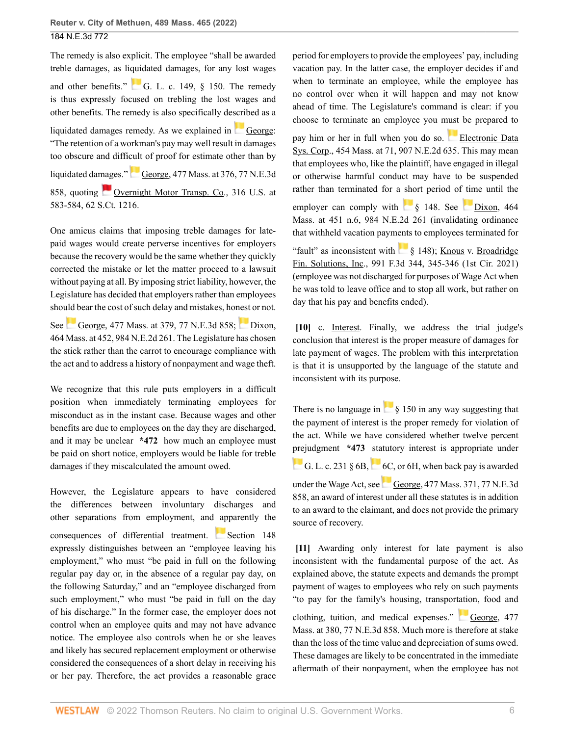The remedy is also explicit. The employee "shall be awarded treble damages, as liquidated damages, for any lost wages and other benefits." [G. L. c. 149, § 150.](http://www.westlaw.com/Link/Document/FullText?findType=L&pubNum=1000042&cite=MAST149S150&originatingDoc=I7c030660b42711ec99dfd0646e92f5e0&refType=LQ&originationContext=document&vr=3.0&rs=cblt1.0&transitionType=DocumentItem&contextData=(sc.History*oc.Search)) The remedy is thus expressly focused on trebling the lost wages and other benefits. The remedy is also specifically described as a liquidated damages remedy. As we explained in [George](http://www.westlaw.com/Link/Document/FullText?findType=Y&serNum=2041956463&pubNum=0000521&originatingDoc=I7c030660b42711ec99dfd0646e92f5e0&refType=RP&originationContext=document&vr=3.0&rs=cblt1.0&transitionType=DocumentItem&contextData=(sc.History*oc.Search)): "The retention of a workman's pay may well result in damages too obscure and difficult of proof for estimate other than by liquidateddamages." [George, 477 Mass. at 376, 77 N.E.3d](http://www.westlaw.com/Link/Document/FullText?findType=Y&serNum=2041956463&pubNum=0000521&originatingDoc=I7c030660b42711ec99dfd0646e92f5e0&refType=RP&fi=co_pp_sp_521_376&originationContext=document&vr=3.0&rs=cblt1.0&transitionType=DocumentItem&contextData=(sc.History*oc.Search)#co_pp_sp_521_376)

[858](http://www.westlaw.com/Link/Document/FullText?findType=Y&serNum=2041956463&pubNum=0000521&originatingDoc=I7c030660b42711ec99dfd0646e92f5e0&refType=RP&fi=co_pp_sp_521_376&originationContext=document&vr=3.0&rs=cblt1.0&transitionType=DocumentItem&contextData=(sc.History*oc.Search)#co_pp_sp_521_376), quoting [Overnight Motor Transp. Co., 316 U.S. at](http://www.westlaw.com/Link/Document/FullText?findType=Y&serNum=1942122650&pubNum=0000780&originatingDoc=I7c030660b42711ec99dfd0646e92f5e0&refType=RP&fi=co_pp_sp_780_583&originationContext=document&vr=3.0&rs=cblt1.0&transitionType=DocumentItem&contextData=(sc.History*oc.Search)#co_pp_sp_780_583) [583-584, 62 S.Ct. 1216](http://www.westlaw.com/Link/Document/FullText?findType=Y&serNum=1942122650&pubNum=0000780&originatingDoc=I7c030660b42711ec99dfd0646e92f5e0&refType=RP&fi=co_pp_sp_780_583&originationContext=document&vr=3.0&rs=cblt1.0&transitionType=DocumentItem&contextData=(sc.History*oc.Search)#co_pp_sp_780_583).

One amicus claims that imposing treble damages for latepaid wages would create perverse incentives for employers because the recovery would be the same whether they quickly corrected the mistake or let the matter proceed to a lawsuit without paying at all. By imposing strict liability, however, the Legislature has decided that employers rather than employees should bear the cost of such delay and mistakes, honest or not.

See [George, 477 Mass. at 379, 77 N.E.3d 858](http://www.westlaw.com/Link/Document/FullText?findType=Y&serNum=2041956463&pubNum=0000521&originatingDoc=I7c030660b42711ec99dfd0646e92f5e0&refType=RP&fi=co_pp_sp_521_379&originationContext=document&vr=3.0&rs=cblt1.0&transitionType=DocumentItem&contextData=(sc.History*oc.Search)#co_pp_sp_521_379); [Dixon,](http://www.westlaw.com/Link/Document/FullText?findType=Y&serNum=2029964947&pubNum=0000521&originatingDoc=I7c030660b42711ec99dfd0646e92f5e0&refType=RP&fi=co_pp_sp_521_452&originationContext=document&vr=3.0&rs=cblt1.0&transitionType=DocumentItem&contextData=(sc.History*oc.Search)#co_pp_sp_521_452) [464 Mass. at 452, 984 N.E.2d 261](http://www.westlaw.com/Link/Document/FullText?findType=Y&serNum=2029964947&pubNum=0000521&originatingDoc=I7c030660b42711ec99dfd0646e92f5e0&refType=RP&fi=co_pp_sp_521_452&originationContext=document&vr=3.0&rs=cblt1.0&transitionType=DocumentItem&contextData=(sc.History*oc.Search)#co_pp_sp_521_452). The Legislature has chosen the stick rather than the carrot to encourage compliance with the act and to address a history of nonpayment and wage theft.

We recognize that this rule puts employers in a difficult position when immediately terminating employees for misconduct as in the instant case. Because wages and other benefits are due to employees on the day they are discharged, and it may be unclear **\*472** how much an employee must be paid on short notice, employers would be liable for treble damages if they miscalculated the amount owed.

However, the Legislature appears to have considered the differences between involuntary discharges and other separations from employment, and apparently the consequences of differential treatment. [Section 148](http://www.westlaw.com/Link/Document/FullText?findType=L&pubNum=1000042&cite=MAST149S148&originatingDoc=I7c030660b42711ec99dfd0646e92f5e0&refType=LQ&originationContext=document&vr=3.0&rs=cblt1.0&transitionType=DocumentItem&contextData=(sc.History*oc.Search)) expressly distinguishes between an "employee leaving his employment," who must "be paid in full on the following regular pay day or, in the absence of a regular pay day, on the following Saturday," and an "employee discharged from such employment," who must "be paid in full on the day of his discharge." In the former case, the employer does not control when an employee quits and may not have advance notice. The employee also controls when he or she leaves and likely has secured replacement employment or otherwise considered the consequences of a short delay in receiving his or her pay. Therefore, the act provides a reasonable grace period for employers to provide the employees' pay, including vacation pay. In the latter case, the employer decides if and when to terminate an employee, while the employee has no control over when it will happen and may not know ahead of time. The Legislature's command is clear: if you choose to terminate an employee you must be prepared to

pay him or her in full when you do so. [Electronic Data](http://www.westlaw.com/Link/Document/FullText?findType=Y&serNum=2019076192&pubNum=0000521&originatingDoc=I7c030660b42711ec99dfd0646e92f5e0&refType=RP&fi=co_pp_sp_521_71&originationContext=document&vr=3.0&rs=cblt1.0&transitionType=DocumentItem&contextData=(sc.History*oc.Search)#co_pp_sp_521_71) [Sys. Corp., 454 Mass. at 71, 907 N.E.2d 635.](http://www.westlaw.com/Link/Document/FullText?findType=Y&serNum=2019076192&pubNum=0000521&originatingDoc=I7c030660b42711ec99dfd0646e92f5e0&refType=RP&fi=co_pp_sp_521_71&originationContext=document&vr=3.0&rs=cblt1.0&transitionType=DocumentItem&contextData=(sc.History*oc.Search)#co_pp_sp_521_71) This may mean that employees who, like the plaintiff, have engaged in illegal or otherwise harmful conduct may have to be suspended rather than terminated for a short period of time until the

employer can comply with  $\frac{1}{2}$  \$ 148. See [Dixon, 464](http://www.westlaw.com/Link/Document/FullText?findType=Y&serNum=2029964947&pubNum=0000521&originatingDoc=I7c030660b42711ec99dfd0646e92f5e0&refType=RP&fi=co_pp_sp_521_451&originationContext=document&vr=3.0&rs=cblt1.0&transitionType=DocumentItem&contextData=(sc.History*oc.Search)#co_pp_sp_521_451) [Mass. at 451 n.6, 984 N.E.2d 261](http://www.westlaw.com/Link/Document/FullText?findType=Y&serNum=2029964947&pubNum=0000521&originatingDoc=I7c030660b42711ec99dfd0646e92f5e0&refType=RP&fi=co_pp_sp_521_451&originationContext=document&vr=3.0&rs=cblt1.0&transitionType=DocumentItem&contextData=(sc.History*oc.Search)#co_pp_sp_521_451) (invalidating ordinance that withheld vacation payments to employees terminated for

"fault" as inconsistent with [§ 148\)](http://www.westlaw.com/Link/Document/FullText?findType=L&pubNum=1000042&cite=MAST149S148&originatingDoc=I7c030660b42711ec99dfd0646e92f5e0&refType=LQ&originationContext=document&vr=3.0&rs=cblt1.0&transitionType=DocumentItem&contextData=(sc.History*oc.Search)); [Knous v. Broadridge](http://www.westlaw.com/Link/Document/FullText?findType=Y&serNum=2053326052&pubNum=0000506&originatingDoc=I7c030660b42711ec99dfd0646e92f5e0&refType=RP&fi=co_pp_sp_506_345&originationContext=document&vr=3.0&rs=cblt1.0&transitionType=DocumentItem&contextData=(sc.History*oc.Search)#co_pp_sp_506_345) [Fin. Solutions, Inc., 991 F.3d 344, 345-346 \(1st Cir. 2021\)](http://www.westlaw.com/Link/Document/FullText?findType=Y&serNum=2053326052&pubNum=0000506&originatingDoc=I7c030660b42711ec99dfd0646e92f5e0&refType=RP&fi=co_pp_sp_506_345&originationContext=document&vr=3.0&rs=cblt1.0&transitionType=DocumentItem&contextData=(sc.History*oc.Search)#co_pp_sp_506_345) (employee was not discharged for purposes of Wage Act when he was told to leave office and to stop all work, but rather on day that his pay and benefits ended).

<span id="page-5-0"></span>**[\[10\]](#page-1-0)** c. Interest. Finally, we address the trial judge's conclusion that interest is the proper measure of damages for late payment of wages. The problem with this interpretation is that it is unsupported by the language of the statute and inconsistent with its purpose.

Thereis no language in  $\frac{1}{8}$  150 in any way suggesting that the payment of interest is the proper remedy for violation of the act. While we have considered whether twelve percent [prej](https://1.next.westlaw.com/Link/RelatedInformation/Flag?documentGuid=ND64986D0173511DB9292C066B0348FB7&transitionType=InlineKeyCiteFlags&originationContext=docHeaderFlag&Rank=0&ppcid=cd739879955c475ab735c9325c947dc5&contextData=(sc.History*oc.Search) )udgment **\*473** statutory interest is appropriate under G.L. c. 231 §  $6B$ , [6C](http://www.westlaw.com/Link/Document/FullText?findType=L&pubNum=1000042&cite=MAST231S6C&originatingDoc=I7c030660b42711ec99dfd0646e92f5e0&refType=LQ&originationContext=document&vr=3.0&rs=cblt1.0&transitionType=DocumentItem&contextData=(sc.History*oc.Search)), or [6H](http://www.westlaw.com/Link/Document/FullText?findType=L&pubNum=1000042&cite=MAST231S6H&originatingDoc=I7c030660b42711ec99dfd0646e92f5e0&refType=LQ&originationContext=document&vr=3.0&rs=cblt1.0&transitionType=DocumentItem&contextData=(sc.History*oc.Search)), when back pay is awarded underthe Wage Act, see [George, 477 Mass. 371, 77 N.E.3d](http://www.westlaw.com/Link/Document/FullText?findType=Y&serNum=2041956463&pubNum=0007902&originatingDoc=I7c030660b42711ec99dfd0646e92f5e0&refType=RP&originationContext=document&vr=3.0&rs=cblt1.0&transitionType=DocumentItem&contextData=(sc.History*oc.Search)) [858](http://www.westlaw.com/Link/Document/FullText?findType=Y&serNum=2041956463&pubNum=0007902&originatingDoc=I7c030660b42711ec99dfd0646e92f5e0&refType=RP&originationContext=document&vr=3.0&rs=cblt1.0&transitionType=DocumentItem&contextData=(sc.History*oc.Search)), an award of interest under all these statutes is in addition to an award to the claimant, and does not provide the primary source of recovery.

<span id="page-5-1"></span>**[\[11\]](#page-1-7)** Awarding only interest for late payment is also inconsistent with the fundamental purpose of the act. As explained above, the statute expects and demands the prompt payment of wages to employees who rely on such payments "to pay for the family's housing, transportation, food and

clothing, tuition, and medical expenses." [George, 477](http://www.westlaw.com/Link/Document/FullText?findType=Y&serNum=2041956463&pubNum=0000521&originatingDoc=I7c030660b42711ec99dfd0646e92f5e0&refType=RP&fi=co_pp_sp_521_380&originationContext=document&vr=3.0&rs=cblt1.0&transitionType=DocumentItem&contextData=(sc.History*oc.Search)#co_pp_sp_521_380) [Mass. at 380, 77 N.E.3d 858.](http://www.westlaw.com/Link/Document/FullText?findType=Y&serNum=2041956463&pubNum=0000521&originatingDoc=I7c030660b42711ec99dfd0646e92f5e0&refType=RP&fi=co_pp_sp_521_380&originationContext=document&vr=3.0&rs=cblt1.0&transitionType=DocumentItem&contextData=(sc.History*oc.Search)#co_pp_sp_521_380) Much more is therefore at stake than the loss of the time value and depreciation of sums owed. These damages are likely to be concentrated in the immediate aftermath of their nonpayment, when the employee has not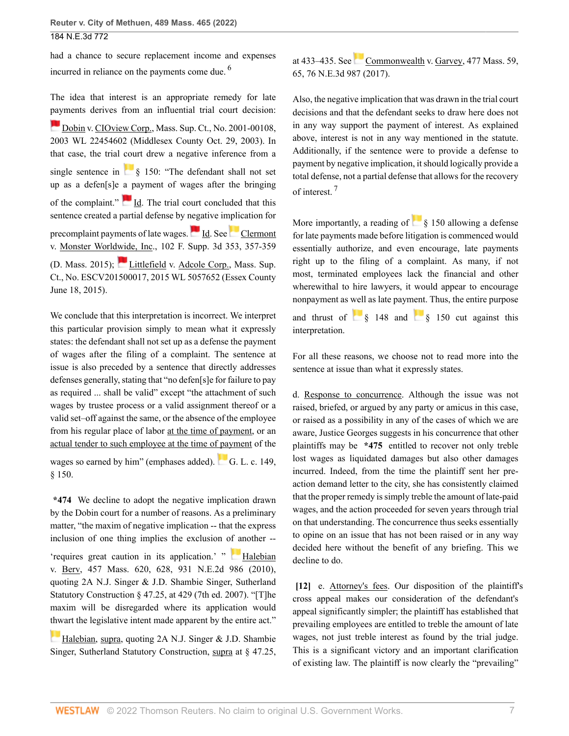had a chance to secure replacement income and expenses incurred in reliance on the payments come due. [6](#page-9-5)

The idea that interest is an appropriate remedy for late [pay](https://1.next.westlaw.com/Link/RelatedInformation/Flag?documentGuid=I97d5927cce1d11d9a489ee624f1f6e1a&transitionType=InlineKeyCiteFlags&originationContext=docHeaderFlag&Rank=0&ppcid=cd739879955c475ab735c9325c947dc5&contextData=(sc.History*oc.Search) )ments derives from an influential trial court decision: [Dobin v. CIOview Corp., Mass. Sup. Ct., No. 2001-00108,](http://www.westlaw.com/Link/Document/FullText?findType=Y&serNum=2003735640&pubNum=0000999&originatingDoc=I7c030660b42711ec99dfd0646e92f5e0&refType=RP&originationContext=document&vr=3.0&rs=cblt1.0&transitionType=DocumentItem&contextData=(sc.History*oc.Search)) [2003 WL 22454602 \(Middlesex County Oct. 29, 2003\).](http://www.westlaw.com/Link/Document/FullText?findType=Y&serNum=2003735640&pubNum=0000999&originatingDoc=I7c030660b42711ec99dfd0646e92f5e0&refType=RP&originationContext=document&vr=3.0&rs=cblt1.0&transitionType=DocumentItem&contextData=(sc.History*oc.Search)) In that case, the trial court drew a negative inference from a

single sentence in  $\frac{1}{8}$  150: "The defendant shall not set up as a defen[s]e a payment of wages after the bringing of the complaint."  $\blacksquare$  [Id.](http://www.westlaw.com/Link/Document/FullText?findType=Y&serNum=2003735640&pubNum=0004031&originatingDoc=I7c030660b42711ec99dfd0646e92f5e0&refType=RP&originationContext=document&vr=3.0&rs=cblt1.0&transitionType=DocumentItem&contextData=(sc.History*oc.Search)) The trial court concluded that this sentence created a partial defense by negative implication for precomplaintpayments of late wages. 1d. See [Clermont](http://www.westlaw.com/Link/Document/FullText?findType=Y&serNum=2035791099&pubNum=0007903&originatingDoc=I7c030660b42711ec99dfd0646e92f5e0&refType=RP&fi=co_pp_sp_7903_357&originationContext=document&vr=3.0&rs=cblt1.0&transitionType=DocumentItem&contextData=(sc.History*oc.Search)#co_pp_sp_7903_357) [v. Monster Worldwide, Inc., 102 F. Supp. 3d 353, 357-359](http://www.westlaw.com/Link/Document/FullText?findType=Y&serNum=2035791099&pubNum=0007903&originatingDoc=I7c030660b42711ec99dfd0646e92f5e0&refType=RP&fi=co_pp_sp_7903_357&originationContext=document&vr=3.0&rs=cblt1.0&transitionType=DocumentItem&contextData=(sc.History*oc.Search)#co_pp_sp_7903_357) [\(D. Mass. 2015\)](http://www.westlaw.com/Link/Document/FullText?findType=Y&serNum=2035791099&pubNum=0007903&originatingDoc=I7c030660b42711ec99dfd0646e92f5e0&refType=RP&fi=co_pp_sp_7903_357&originationContext=document&vr=3.0&rs=cblt1.0&transitionType=DocumentItem&contextData=(sc.History*oc.Search)#co_pp_sp_7903_357); [Littlefield v. Adcole Corp., Mass. Sup.](http://www.westlaw.com/Link/Document/FullText?findType=Y&serNum=2036967137&pubNum=0000999&originatingDoc=I7c030660b42711ec99dfd0646e92f5e0&refType=RP&originationContext=document&vr=3.0&rs=cblt1.0&transitionType=DocumentItem&contextData=(sc.History*oc.Search)) [Ct., No. ESCV201500017, 2015 WL 5057652 \(Essex County](http://www.westlaw.com/Link/Document/FullText?findType=Y&serNum=2036967137&pubNum=0000999&originatingDoc=I7c030660b42711ec99dfd0646e92f5e0&refType=RP&originationContext=document&vr=3.0&rs=cblt1.0&transitionType=DocumentItem&contextData=(sc.History*oc.Search)) [June 18, 2015\)](http://www.westlaw.com/Link/Document/FullText?findType=Y&serNum=2036967137&pubNum=0000999&originatingDoc=I7c030660b42711ec99dfd0646e92f5e0&refType=RP&originationContext=document&vr=3.0&rs=cblt1.0&transitionType=DocumentItem&contextData=(sc.History*oc.Search)).

We conclude that this interpretation is incorrect. We interpret this particular provision simply to mean what it expressly states: the defendant shall not set up as a defense the payment of wages after the filing of a complaint. The sentence at issue is also preceded by a sentence that directly addresses defenses generally, stating that "no defen[s]e for failure to pay as required ... shall be valid" except "the attachment of such wages by trustee process or a valid assignment thereof or a valid set–off against the same, or the absence of the employee from his regular place of labor at the time of payment, or an actual tender to such employee at the time of payment of the wages so earned by him" (emphases added).  $\overline{G}$ . L. c. 149, [§ 150](http://www.westlaw.com/Link/Document/FullText?findType=L&pubNum=1000042&cite=MAST149S150&originatingDoc=I7c030660b42711ec99dfd0646e92f5e0&refType=LQ&originationContext=document&vr=3.0&rs=cblt1.0&transitionType=DocumentItem&contextData=(sc.History*oc.Search)).

**\*474** We decline to adopt the negative implication drawn by the Dobin court for a number of reasons. As a preliminary matter, "the maxim of negative implication -- that the express inclusion of one thing implies the exclusion of another --

'requires great caution in its application.' " [Halebian](http://www.westlaw.com/Link/Document/FullText?findType=Y&serNum=2022818048&pubNum=0000521&originatingDoc=I7c030660b42711ec99dfd0646e92f5e0&refType=RP&fi=co_pp_sp_521_628&originationContext=document&vr=3.0&rs=cblt1.0&transitionType=DocumentItem&contextData=(sc.History*oc.Search)#co_pp_sp_521_628) [v. Berv, 457 Mass. 620, 628, 931 N.E.2d 986 \(2010\)](http://www.westlaw.com/Link/Document/FullText?findType=Y&serNum=2022818048&pubNum=0000521&originatingDoc=I7c030660b42711ec99dfd0646e92f5e0&refType=RP&fi=co_pp_sp_521_628&originationContext=document&vr=3.0&rs=cblt1.0&transitionType=DocumentItem&contextData=(sc.History*oc.Search)#co_pp_sp_521_628), quoting 2A N.J. Singer & J.D. Shambie Singer, Sutherland Statutory Construction § 47.25, at 429 (7th ed. 2007). "[T]he maxim will be disregarded where its application would [thw](https://1.next.westlaw.com/Link/RelatedInformation/Flag?documentGuid=I51818dd9ac6a11df8228ac372eb82649&transitionType=InlineKeyCiteFlags&originationContext=docHeaderFlag&Rank=0&ppcid=cd739879955c475ab735c9325c947dc5&contextData=(sc.History*oc.Search) )art the legislative intent made apparent by the entire act."

[Halebian, supra,](http://www.westlaw.com/Link/Document/FullText?findType=Y&serNum=2022818048&pubNum=0000521&originatingDoc=I7c030660b42711ec99dfd0646e92f5e0&refType=RP&originationContext=document&vr=3.0&rs=cblt1.0&transitionType=DocumentItem&contextData=(sc.History*oc.Search)) quoting 2A N.J. Singer & J.D. Shambie Singer, Sutherland Statutory Construction, supra at § 47.25, <span id="page-6-1"></span>at 433–435. See [Commonwealth v. Garvey, 477 Mass. 59,](http://www.westlaw.com/Link/Document/FullText?findType=Y&serNum=2041616698&pubNum=0000521&originatingDoc=I7c030660b42711ec99dfd0646e92f5e0&refType=RP&fi=co_pp_sp_521_65&originationContext=document&vr=3.0&rs=cblt1.0&transitionType=DocumentItem&contextData=(sc.History*oc.Search)#co_pp_sp_521_65) [65, 76 N.E.3d 987 \(2017\)](http://www.westlaw.com/Link/Document/FullText?findType=Y&serNum=2041616698&pubNum=0000521&originatingDoc=I7c030660b42711ec99dfd0646e92f5e0&refType=RP&fi=co_pp_sp_521_65&originationContext=document&vr=3.0&rs=cblt1.0&transitionType=DocumentItem&contextData=(sc.History*oc.Search)#co_pp_sp_521_65).

Also, the negative implication that was drawn in the trial court decisions and that the defendant seeks to draw here does not in any way support the payment of interest. As explained above, interest is not in any way mentioned in the statute. Additionally, if the sentence were to provide a defense to payment by negative implication, it should logically provide a total defense, not a partial defense that allows for the recovery of interest. [7](#page-9-6)

<span id="page-6-2"></span>More importantly, a reading of  $\left[\begin{array}{c} 8 \\ 150 \end{array}\right]$  allowing a defense for late payments made before litigation is commenced would essentially authorize, and even encourage, late payments right up to the filing of a complaint. As many, if not most, terminated employees lack the financial and other wherewithal to hire lawyers, it would appear to encourage nonpayment as well as late payment. Thus, the entire purpose and thrust of  $\frac{1}{8}$  148 and  $\frac{1}{8}$  150 cut against this interpretation.

For all these reasons, we choose not to read more into the sentence at issue than what it expressly states.

d. Response to concurrence. Although the issue was not raised, briefed, or argued by any party or amicus in this case, or raised as a possibility in any of the cases of which we are aware, Justice Georges suggests in his concurrence that other plaintiffs may be **\*475** entitled to recover not only treble lost wages as liquidated damages but also other damages incurred. Indeed, from the time the plaintiff sent her preaction demand letter to the city, she has consistently claimed that the proper remedy is simply treble the amount of late-paid wages, and the action proceeded for seven years through trial on that understanding. The concurrence thus seeks essentially to opine on an issue that has not been raised or in any way decided here without the benefit of any briefing. This we decline to do.

<span id="page-6-0"></span>**[\[12\]](#page-1-1)** e. Attorney's fees. Our disposition of the plaintiff's cross appeal makes our consideration of the defendant's appeal significantly simpler; the plaintiff has established that prevailing employees are entitled to treble the amount of late wages, not just treble interest as found by the trial judge. This is a significant victory and an important clarification of existing law. The plaintiff is now clearly the "prevailing"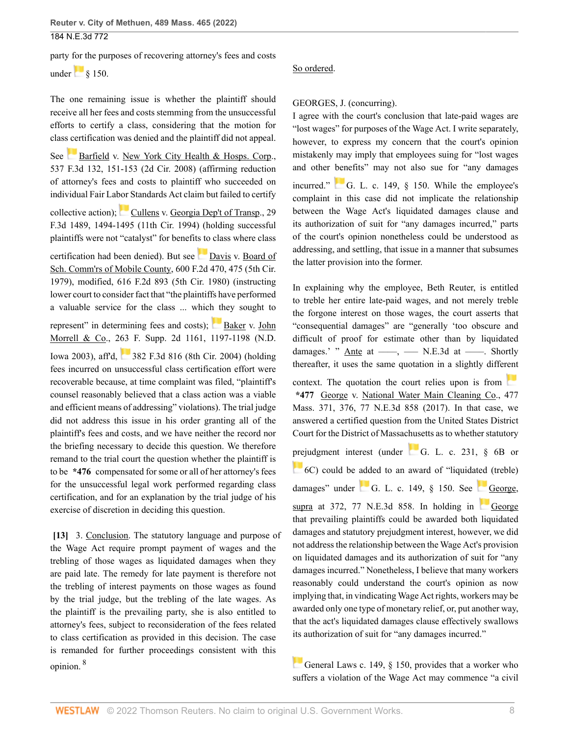party for the purposes of recovering attorney's fees and costs

under $\begin{bmatrix} 8 & 150 \end{bmatrix}$ 

The one remaining issue is whether the plaintiff should receive all her fees and costs stemming from the unsuccessful efforts to certify a class, considering that the motion for class certification was denied and the plaintiff did not appeal.

See [Barfield v. New York City Health & Hosps. Corp.,](http://www.westlaw.com/Link/Document/FullText?findType=Y&serNum=2016722060&pubNum=0000506&originatingDoc=I7c030660b42711ec99dfd0646e92f5e0&refType=RP&fi=co_pp_sp_506_151&originationContext=document&vr=3.0&rs=cblt1.0&transitionType=DocumentItem&contextData=(sc.History*oc.Search)#co_pp_sp_506_151) [537 F.3d 132, 151-153 \(2d Cir. 2008\)](http://www.westlaw.com/Link/Document/FullText?findType=Y&serNum=2016722060&pubNum=0000506&originatingDoc=I7c030660b42711ec99dfd0646e92f5e0&refType=RP&fi=co_pp_sp_506_151&originationContext=document&vr=3.0&rs=cblt1.0&transitionType=DocumentItem&contextData=(sc.History*oc.Search)#co_pp_sp_506_151) (affirming reduction of attorney's fees and costs to plaintiff who succeeded on individual Fair Labor Standards Act claim but failed to certify

collectiveaction); [Cullens v. Georgia Dep't of Transp., 29](http://www.westlaw.com/Link/Document/FullText?findType=Y&serNum=1994168012&pubNum=0000506&originatingDoc=I7c030660b42711ec99dfd0646e92f5e0&refType=RP&fi=co_pp_sp_506_1494&originationContext=document&vr=3.0&rs=cblt1.0&transitionType=DocumentItem&contextData=(sc.History*oc.Search)#co_pp_sp_506_1494) [F.3d 1489, 1494-1495 \(11th Cir. 1994\)](http://www.westlaw.com/Link/Document/FullText?findType=Y&serNum=1994168012&pubNum=0000506&originatingDoc=I7c030660b42711ec99dfd0646e92f5e0&refType=RP&fi=co_pp_sp_506_1494&originationContext=document&vr=3.0&rs=cblt1.0&transitionType=DocumentItem&contextData=(sc.History*oc.Search)#co_pp_sp_506_1494) (holding successful plaintiffs were not "catalyst" for benefits to class where class

certification had been denied). But see [Davis v. Board of](http://www.westlaw.com/Link/Document/FullText?findType=Y&serNum=1979113425&pubNum=0000350&originatingDoc=I7c030660b42711ec99dfd0646e92f5e0&refType=RP&fi=co_pp_sp_350_475&originationContext=document&vr=3.0&rs=cblt1.0&transitionType=DocumentItem&contextData=(sc.History*oc.Search)#co_pp_sp_350_475) [Sch. Comm'rs of Mobile County, 600 F.2d 470, 475 \(5th Cir.](http://www.westlaw.com/Link/Document/FullText?findType=Y&serNum=1979113425&pubNum=0000350&originatingDoc=I7c030660b42711ec99dfd0646e92f5e0&refType=RP&fi=co_pp_sp_350_475&originationContext=document&vr=3.0&rs=cblt1.0&transitionType=DocumentItem&contextData=(sc.History*oc.Search)#co_pp_sp_350_475) [1979\)](http://www.westlaw.com/Link/Document/FullText?findType=Y&serNum=1979113425&pubNum=0000350&originatingDoc=I7c030660b42711ec99dfd0646e92f5e0&refType=RP&fi=co_pp_sp_350_475&originationContext=document&vr=3.0&rs=cblt1.0&transitionType=DocumentItem&contextData=(sc.History*oc.Search)#co_pp_sp_350_475), modified, [616 F.2d 893 \(5th Cir. 1980\)](http://www.westlaw.com/Link/Document/FullText?findType=Y&serNum=1980196784&pubNum=0000350&originatingDoc=I7c030660b42711ec99dfd0646e92f5e0&refType=RP&originationContext=document&vr=3.0&rs=cblt1.0&transitionType=DocumentItem&contextData=(sc.History*oc.Search)) (instructing lower court to consider fact that "the plaintiffs have performed a valuable service for the class ... which they sought to

represent" in determining fees and costs); [Baker v. John](http://www.westlaw.com/Link/Document/FullText?findType=Y&serNum=2003372108&pubNum=0004637&originatingDoc=I7c030660b42711ec99dfd0646e92f5e0&refType=RP&fi=co_pp_sp_4637_1197&originationContext=document&vr=3.0&rs=cblt1.0&transitionType=DocumentItem&contextData=(sc.History*oc.Search)#co_pp_sp_4637_1197) [Morrell & Co., 263 F. Supp. 2d 1161, 1197-1198 \(N.D.](http://www.westlaw.com/Link/Document/FullText?findType=Y&serNum=2003372108&pubNum=0004637&originatingDoc=I7c030660b42711ec99dfd0646e92f5e0&refType=RP&fi=co_pp_sp_4637_1197&originationContext=document&vr=3.0&rs=cblt1.0&transitionType=DocumentItem&contextData=(sc.History*oc.Search)#co_pp_sp_4637_1197)

[Iowa 2003\),](http://www.westlaw.com/Link/Document/FullText?findType=Y&serNum=2003372108&pubNum=0004637&originatingDoc=I7c030660b42711ec99dfd0646e92f5e0&refType=RP&fi=co_pp_sp_4637_1197&originationContext=document&vr=3.0&rs=cblt1.0&transitionType=DocumentItem&contextData=(sc.History*oc.Search)#co_pp_sp_4637_1197) aff'd, [382 F.3d 816 \(8th Cir. 2004\)](http://www.westlaw.com/Link/Document/FullText?findType=Y&serNum=2004974931&pubNum=0000506&originatingDoc=I7c030660b42711ec99dfd0646e92f5e0&refType=RP&originationContext=document&vr=3.0&rs=cblt1.0&transitionType=DocumentItem&contextData=(sc.History*oc.Search)) (holding fees incurred on unsuccessful class certification effort were recoverable because, at time complaint was filed, "plaintiff's counsel reasonably believed that a class action was a viable and efficient means of addressing" violations). The trial judge did not address this issue in his order granting all of the plaintiff's fees and costs, and we have neither the record nor the briefing necessary to decide this question. We therefore remand to the trial court the question whether the plaintiff is to be **\*476** compensated for some or all of her attorney's fees for the unsuccessful legal work performed regarding class certification, and for an explanation by the trial judge of his exercise of discretion in deciding this question.

<span id="page-7-1"></span><span id="page-7-0"></span>[\[13\]](#page-1-8) 3. Conclusion. The statutory language and purpose of the Wage Act require prompt payment of wages and the trebling of those wages as liquidated damages when they are paid late. The remedy for late payment is therefore not the trebling of interest payments on those wages as found by the trial judge, but the trebling of the late wages. As the plaintiff is the prevailing party, she is also entitled to attorney's fees, subject to reconsideration of the fees related to class certification as provided in this decision. The case is remanded for further proceedings consistent with this opinion. [8](#page-9-7)

## So ordered.

### [GEORGES](http://www.westlaw.com/Link/Document/FullText?findType=h&pubNum=176284&cite=0522551301&originatingDoc=I7c030660b42711ec99dfd0646e92f5e0&refType=RQ&originationContext=document&vr=3.0&rs=cblt1.0&transitionType=DocumentItem&contextData=(sc.History*oc.Search)), J. (concurring).

I agree with the court's conclusion that late-paid wages are "lost wages" for purposes of the Wage Act. I write separately, however, to express my concern that the court's opinion mistakenly may imply that employees suing for "lost wages and other benefits" may not also sue for "any damages incurred." [G. L. c. 149, § 150.](http://www.westlaw.com/Link/Document/FullText?findType=L&pubNum=1000042&cite=MAST149S150&originatingDoc=I7c030660b42711ec99dfd0646e92f5e0&refType=LQ&originationContext=document&vr=3.0&rs=cblt1.0&transitionType=DocumentItem&contextData=(sc.History*oc.Search)) While the employee's complaint in this case did not implicate the relationship between the Wage Act's liquidated damages clause and its authorization of suit for "any damages incurred," parts

of the court's opinion nonetheless could be understood as addressing, and settling, that issue in a manner that subsumes the latter provision into the former. In explaining why the employee, Beth Reuter, is entitled

to treble her entire late-paid wages, and not merely treble the forgone interest on those wages, the court asserts that "consequential damages" are "generally 'too obscure and difficult of proof for estimate other than by liquidated damages.' " Ante at  $\frac{m}{2}$ ,  $\frac{m}{2}$  N.E.3d at  $\frac{m}{2}$ . Shortly thereafter, it uses the same quotation in a slightly diffe[rent](https://1.next.westlaw.com/Link/RelatedInformation/Flag?documentGuid=I74feda505ae111e794a1f7ff5c621124&transitionType=InlineKeyCiteFlags&originationContext=docHeaderFlag&Rank=0&ppcid=cd739879955c475ab735c9325c947dc5&contextData=(sc.History*oc.Search) ) context. The quotation the court relies upon is from **\*477** [George v. National Water Main Cleaning Co., 477](http://www.westlaw.com/Link/Document/FullText?findType=Y&serNum=2041956463&pubNum=0000521&originatingDoc=I7c030660b42711ec99dfd0646e92f5e0&refType=RP&fi=co_pp_sp_521_376&originationContext=document&vr=3.0&rs=cblt1.0&transitionType=DocumentItem&contextData=(sc.History*oc.Search)#co_pp_sp_521_376) [Mass. 371, 376, 77 N.E.3d 858 \(2017\).](http://www.westlaw.com/Link/Document/FullText?findType=Y&serNum=2041956463&pubNum=0000521&originatingDoc=I7c030660b42711ec99dfd0646e92f5e0&refType=RP&fi=co_pp_sp_521_376&originationContext=document&vr=3.0&rs=cblt1.0&transitionType=DocumentItem&contextData=(sc.History*oc.Search)#co_pp_sp_521_376) In that case, we answered a certified question from the United States District Court for the District of Massachusetts as to whether statutory [prej](https://1.next.westlaw.com/Link/RelatedInformation/Flag?documentGuid=N9DD9E510173511DB9292C066B0348FB7&transitionType=InlineKeyCiteFlags&originationContext=docHeaderFlag&Rank=0&ppcid=cd739879955c475ab735c9325c947dc5&contextData=(sc.History*oc.Search) )udgment interest (under [G. L. c. 231, § 6B](http://www.westlaw.com/Link/Document/FullText?findType=L&pubNum=1000042&cite=MAST231S6B&originatingDoc=I7c030660b42711ec99dfd0646e92f5e0&refType=LQ&originationContext=document&vr=3.0&rs=cblt1.0&transitionType=DocumentItem&contextData=(sc.History*oc.Search)) or [6C](http://www.westlaw.com/Link/Document/FullText?findType=L&pubNum=1000042&cite=MAST231S6C&originatingDoc=I7c030660b42711ec99dfd0646e92f5e0&refType=LQ&originationContext=document&vr=3.0&rs=cblt1.0&transitionType=DocumentItem&contextData=(sc.History*oc.Search))) could be added to an award of "liquidated (treble) damages" under G. L. c. 149,  $\S$  150. See [George,](http://www.westlaw.com/Link/Document/FullText?findType=Y&serNum=2041956463&pubNum=0000521&originatingDoc=I7c030660b42711ec99dfd0646e92f5e0&refType=RP&fi=co_pp_sp_521_372&originationContext=document&vr=3.0&rs=cblt1.0&transitionType=DocumentItem&contextData=(sc.History*oc.Search)#co_pp_sp_521_372) [supra at 372, 77 N.E.3d 858.](http://www.westlaw.com/Link/Document/FullText?findType=Y&serNum=2041956463&pubNum=0000521&originatingDoc=I7c030660b42711ec99dfd0646e92f5e0&refType=RP&fi=co_pp_sp_521_372&originationContext=document&vr=3.0&rs=cblt1.0&transitionType=DocumentItem&contextData=(sc.History*oc.Search)#co_pp_sp_521_372) In holding in [George](http://www.westlaw.com/Link/Document/FullText?findType=Y&serNum=2041956463&pubNum=0000521&originatingDoc=I7c030660b42711ec99dfd0646e92f5e0&refType=RP&originationContext=document&vr=3.0&rs=cblt1.0&transitionType=DocumentItem&contextData=(sc.History*oc.Search)) that prevailing plaintiffs could be awarded both liquidated damages and statutory prejudgment interest, however, we did not address the relationship between the Wage Act's provision on liquidated damages and its authorization of suit for "any damages incurred." Nonetheless, I believe that many workers reasonably could understand the court's opinion as now implying that, in vindicating Wage Act rights, workers may be awarded only one type of monetary relief, or, put another way, that the act's liquidated damages clause effectively swallows its authorization of suit for "any damages incurred."

[General Laws c. 149, § 150,](http://www.westlaw.com/Link/Document/FullText?findType=L&pubNum=1000042&cite=MAST149S150&originatingDoc=I7c030660b42711ec99dfd0646e92f5e0&refType=LQ&originationContext=document&vr=3.0&rs=cblt1.0&transitionType=DocumentItem&contextData=(sc.History*oc.Search)) provides that a worker who suffers a violation of the Wage Act may commence "a civil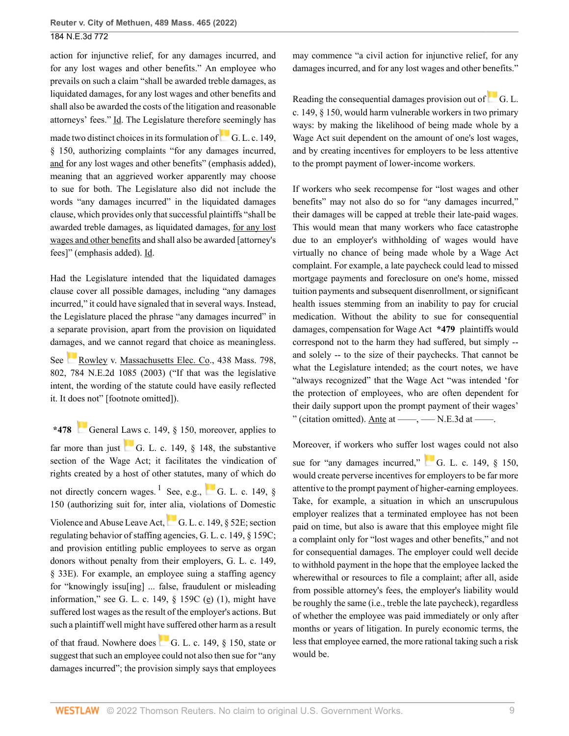action for injunctive relief, for any damages incurred, and for any lost wages and other benefits." An employee who prevails on such a claim "shall be awarded treble damages, as liquidated damages, for any lost wages and other benefits and shall also be awarded the costs of the litigation and reasonable attorneys' fees." Id. The Legislature therefore seemingly has

madetwo distinct choices in its formulation of  $\Box$  [G. L. c. 149,](http://www.westlaw.com/Link/Document/FullText?findType=L&pubNum=1000042&cite=MAST149S150&originatingDoc=I7c030660b42711ec99dfd0646e92f5e0&refType=LQ&originationContext=document&vr=3.0&rs=cblt1.0&transitionType=DocumentItem&contextData=(sc.History*oc.Search)) [§ 150](http://www.westlaw.com/Link/Document/FullText?findType=L&pubNum=1000042&cite=MAST149S150&originatingDoc=I7c030660b42711ec99dfd0646e92f5e0&refType=LQ&originationContext=document&vr=3.0&rs=cblt1.0&transitionType=DocumentItem&contextData=(sc.History*oc.Search)), authorizing complaints "for any damages incurred, and for any lost wages and other benefits" (emphasis added), meaning that an aggrieved worker apparently may choose to sue for both. The Legislature also did not include the words "any damages incurred" in the liquidated damages clause, which provides only that successful plaintiffs "shall be awarded treble damages, as liquidated damages, for any lost wages and other benefits and shall also be awarded [attorney's fees]" (emphasis added). Id.

Had the Legislature intended that the liquidated damages clause cover all possible damages, including "any damages incurred," it could have signaled that in several ways. Instead, the Legislature placed the phrase "any damages incurred" in a separate provision, apart from the provision on liquidated damages, and we cannot regard that choice as meaningless.

See [Rowley v. Massachusetts Elec. Co., 438 Mass. 798,](http://www.westlaw.com/Link/Document/FullText?findType=Y&serNum=2003206973&pubNum=0000521&originatingDoc=I7c030660b42711ec99dfd0646e92f5e0&refType=RP&fi=co_pp_sp_521_802&originationContext=document&vr=3.0&rs=cblt1.0&transitionType=DocumentItem&contextData=(sc.History*oc.Search)#co_pp_sp_521_802) [802, 784 N.E.2d 1085 \(2003\)](http://www.westlaw.com/Link/Document/FullText?findType=Y&serNum=2003206973&pubNum=0000521&originatingDoc=I7c030660b42711ec99dfd0646e92f5e0&refType=RP&fi=co_pp_sp_521_802&originationContext=document&vr=3.0&rs=cblt1.0&transitionType=DocumentItem&contextData=(sc.History*oc.Search)#co_pp_sp_521_802) ("If that was the legislative intent, the wording of the statute could have easily reflected it. It does not" [footnote omitted]).

<span id="page-8-0"></span>**\*478** [General Laws c. 149, § 150,](http://www.westlaw.com/Link/Document/FullText?findType=L&pubNum=1000042&cite=MAST149S150&originatingDoc=I7c030660b42711ec99dfd0646e92f5e0&refType=LQ&originationContext=document&vr=3.0&rs=cblt1.0&transitionType=DocumentItem&contextData=(sc.History*oc.Search)) moreover, applies to far more than just G. L. c. 149,  $\S$  148, the substantive section of the Wage Act; it facilitates the vindication of rights created by a host of other statutes, many of which do not directly concern wages. <sup>[1](#page-10-0)</sup> See, e.g., **[G. L. c. 149, §](http://www.westlaw.com/Link/Document/FullText?findType=L&pubNum=1000042&cite=MAST149S150&originatingDoc=I7c030660b42711ec99dfd0646e92f5e0&refType=LQ&originationContext=document&vr=3.0&rs=cblt1.0&transitionType=DocumentItem&contextData=(sc.History*oc.Search))** [150](http://www.westlaw.com/Link/Document/FullText?findType=L&pubNum=1000042&cite=MAST149S150&originatingDoc=I7c030660b42711ec99dfd0646e92f5e0&refType=LQ&originationContext=document&vr=3.0&rs=cblt1.0&transitionType=DocumentItem&contextData=(sc.History*oc.Search)) (authorizing suit for, inter alia, violations of Domestic Violenceand Abuse Leave Act, G. L. c. 149,  $\S$  52E; section regulating behavior of staffing agencies, [G. L. c. 149, § 159C](http://www.westlaw.com/Link/Document/FullText?findType=L&pubNum=1000042&cite=MAST149S159C&originatingDoc=I7c030660b42711ec99dfd0646e92f5e0&refType=LQ&originationContext=document&vr=3.0&rs=cblt1.0&transitionType=DocumentItem&contextData=(sc.History*oc.Search)); and provision entitling public employees to serve as organ donors without penalty from their employers, [G. L. c. 149,](http://www.westlaw.com/Link/Document/FullText?findType=L&pubNum=1000042&cite=MAST149S33E&originatingDoc=I7c030660b42711ec99dfd0646e92f5e0&refType=LQ&originationContext=document&vr=3.0&rs=cblt1.0&transitionType=DocumentItem&contextData=(sc.History*oc.Search)) [§ 33E\)](http://www.westlaw.com/Link/Document/FullText?findType=L&pubNum=1000042&cite=MAST149S33E&originatingDoc=I7c030660b42711ec99dfd0646e92f5e0&refType=LQ&originationContext=document&vr=3.0&rs=cblt1.0&transitionType=DocumentItem&contextData=(sc.History*oc.Search)). For example, an employee suing a staffing agency for "knowingly issu[ing] ... false, fraudulent or misleading information," see G. L. c. 149,  $\S$  159C (e) (1), might have suffered lost wages as the result of the employer's actions. But such a plaintiff well might have suffered other harm as a result of that fraud. Nowhere does G. L. c. 149,  $\S$  150, state or suggest that such an employee could not also then sue for "any damages incurred"; the provision simply says that employees

may commence "a civil action for injunctive relief, for any damages incurred, and for any lost wages and other benefits."

Readingthe consequential damages provision out of  $\overline{G}$ . L. [c. 149, § 150,](http://www.westlaw.com/Link/Document/FullText?findType=L&pubNum=1000042&cite=MAST149S150&originatingDoc=I7c030660b42711ec99dfd0646e92f5e0&refType=LQ&originationContext=document&vr=3.0&rs=cblt1.0&transitionType=DocumentItem&contextData=(sc.History*oc.Search)) would harm vulnerable workers in two primary ways: by making the likelihood of being made whole by a Wage Act suit dependent on the amount of one's lost wages, and by creating incentives for employers to be less attentive to the prompt payment of lower-income workers.

If workers who seek recompense for "lost wages and other benefits" may not also do so for "any damages incurred," their damages will be capped at treble their late-paid wages. This would mean that many workers who face catastrophe due to an employer's withholding of wages would have virtually no chance of being made whole by a Wage Act complaint. For example, a late paycheck could lead to missed mortgage payments and foreclosure on one's home, missed tuition payments and subsequent disenrollment, or significant health issues stemming from an inability to pay for crucial medication. Without the ability to sue for consequential damages, compensation for Wage Act **\*479** plaintiffs would correspond not to the harm they had suffered, but simply - and solely -- to the size of their paychecks. That cannot be what the Legislature intended; as the court notes, we have "always recognized" that the Wage Act "was intended 'for the protection of employees, who are often dependent for their daily support upon the prompt payment of their wages' " (citation omitted). Ante at  $\frac{m}{2}$ ,  $\frac{m}{2}$ , N.E.3d at  $\frac{m}{2}$ .

Moreover, if workers who suffer lost wages could not also sue for "any damages incurred,"  $\qquad$  [G. L. c. 149, § 150,](http://www.westlaw.com/Link/Document/FullText?findType=L&pubNum=1000042&cite=MAST149S150&originatingDoc=I7c030660b42711ec99dfd0646e92f5e0&refType=LQ&originationContext=document&vr=3.0&rs=cblt1.0&transitionType=DocumentItem&contextData=(sc.History*oc.Search)) would create perverse incentives for employers to be far more attentive to the prompt payment of higher-earning employees. Take, for example, a situation in which an unscrupulous employer realizes that a terminated employee has not been paid on time, but also is aware that this employee might file a complaint only for "lost wages and other benefits," and not for consequential damages. The employer could well decide to withhold payment in the hope that the employee lacked the wherewithal or resources to file a complaint; after all, aside from possible attorney's fees, the employer's liability would be roughly the same (i.e., treble the late paycheck), regardless of whether the employee was paid immediately or only after months or years of litigation. In purely economic terms, the less that employee earned, the more rational taking such a risk would be.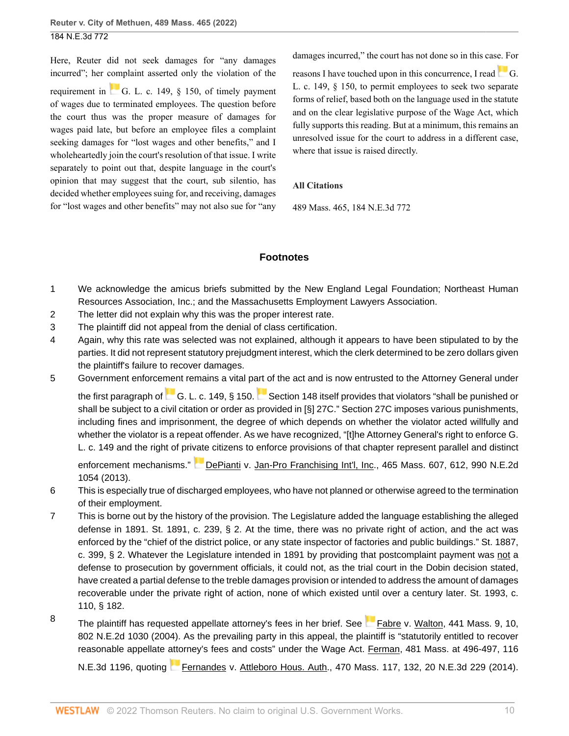Here, Reuter did not seek damages for "any damages incurred"; her complaint asserted only the violation of the requirement in  $\begin{bmatrix} 1 & 0 \\ 0 & 0 \end{bmatrix}$  G. L. c. 149,  $\frac{1}{2}$  150, of timely payment of wages due to terminated employees. The question before the court thus was the proper measure of damages for wages paid late, but before an employee files a complaint seeking damages for "lost wages and other benefits," and I wholeheartedly join the court's resolution of that issue. I write separately to point out that, despite language in the court's opinion that may suggest that the court, sub silentio, has decided whether employees suing for, and receiving, damages for "lost wages and other benefits" may not also sue for "any damages incurred," the court has not done so in this case. For

reasons I have touched upon in this concurrence, I read  $\Box$  [G.](http://www.westlaw.com/Link/Document/FullText?findType=L&pubNum=1000042&cite=MAST149S150&originatingDoc=I7c030660b42711ec99dfd0646e92f5e0&refType=LQ&originationContext=document&vr=3.0&rs=cblt1.0&transitionType=DocumentItem&contextData=(sc.History*oc.Search)) [L. c. 149, § 150,](http://www.westlaw.com/Link/Document/FullText?findType=L&pubNum=1000042&cite=MAST149S150&originatingDoc=I7c030660b42711ec99dfd0646e92f5e0&refType=LQ&originationContext=document&vr=3.0&rs=cblt1.0&transitionType=DocumentItem&contextData=(sc.History*oc.Search)) to permit employees to seek two separate forms of relief, based both on the language used in the statute and on the clear legislative purpose of the Wage Act, which fully supports this reading. But at a minimum, this remains an unresolved issue for the court to address in a different case, where that issue is raised directly.

### **All Citations**

489 Mass. 465, 184 N.E.3d 772

## **Footnotes**

- <span id="page-9-0"></span>[1](#page-2-0) We acknowledge the amicus briefs submitted by the New England Legal Foundation; Northeast Human Resources Association, Inc.; and the Massachusetts Employment Lawyers Association.
- <span id="page-9-1"></span>[2](#page-2-1) The letter did not explain why this was the proper interest rate.
- <span id="page-9-2"></span>[3](#page-3-4) The plaintiff did not appeal from the denial of class certification.
- <span id="page-9-3"></span>[4](#page-3-5) Again, why this rate was selected was not explained, although it appears to have been stipulated to by the parties. It did not represent statutory prejudgment interest, which the clerk determined to be zero dollars given the plaintiff's failure to recover damages.
- <span id="page-9-4"></span>[5](#page-4-5) Government enforcement remains a vital part of the act and is now entrusted to the Attorney General under

thefirst paragraph of [G. L. c. 149, § 150](http://www.westlaw.com/Link/Document/FullText?findType=L&pubNum=1000042&cite=MAST149S150&originatingDoc=I7c030660b42711ec99dfd0646e92f5e0&refType=LQ&originationContext=document&vr=3.0&rs=cblt1.0&transitionType=DocumentItem&contextData=(sc.History*oc.Search)). [Section 148](http://www.westlaw.com/Link/Document/FullText?findType=L&pubNum=1000042&cite=MAST149S148&originatingDoc=I7c030660b42711ec99dfd0646e92f5e0&refType=LQ&originationContext=document&vr=3.0&rs=cblt1.0&transitionType=DocumentItem&contextData=(sc.History*oc.Search)) itself provides that violators "shall be punished or shall be subject to a civil citation or order as provided in [§] 27C." Section 27C imposes various punishments, including fines and imprisonment, the degree of which depends on whether the violator acted willfully and whether the violator is a repeat offender. As we have recognized, "[t]he Attorney General's right to enforce G. L. c. 149 and the right of private citizens to enforce provisions of that chapter represent parallel and distinct

enforcement mechanisms." [DePianti v. Jan-Pro Franchising Int'l, Inc., 465 Mass. 607, 612, 990 N.E.2d](http://www.westlaw.com/Link/Document/FullText?findType=Y&serNum=2030747737&pubNum=0000521&originatingDoc=I7c030660b42711ec99dfd0646e92f5e0&refType=RP&fi=co_pp_sp_521_612&originationContext=document&vr=3.0&rs=cblt1.0&transitionType=DocumentItem&contextData=(sc.History*oc.Search)#co_pp_sp_521_612) [1054 \(2013\).](http://www.westlaw.com/Link/Document/FullText?findType=Y&serNum=2030747737&pubNum=0000521&originatingDoc=I7c030660b42711ec99dfd0646e92f5e0&refType=RP&fi=co_pp_sp_521_612&originationContext=document&vr=3.0&rs=cblt1.0&transitionType=DocumentItem&contextData=(sc.History*oc.Search)#co_pp_sp_521_612)

- <span id="page-9-5"></span>[6](#page-6-1) This is especially true of discharged employees, who have not planned or otherwise agreed to the termination of their employment.
- <span id="page-9-6"></span>[7](#page-6-2) This is borne out by the history of the provision. The Legislature added the language establishing the alleged defense in 1891. St. 1891, c. 239, § 2. At the time, there was no private right of action, and the act was enforced by the "chief of the district police, or any state inspector of factories and public buildings." St. 1887, c. 399, § 2. Whatever the Legislature intended in 1891 by providing that postcomplaint payment was not a defense to prosecution by government officials, it could not, as the trial court in the Dobin decision stated, have created a partial defense to the treble damages provision or intended to address the amount of damages recoverable under the private right of action, none of which existed until over a century later. St. 1993, c. 110, § 182.
- <span id="page-9-7"></span>[8](#page-7-1) The plaintiff has requested appellate attorney's fees in her brief. See [Fabre v. Walton, 441 Mass. 9, 10,](http://www.westlaw.com/Link/Document/FullText?findType=Y&serNum=2004116923&pubNum=0000521&originatingDoc=I7c030660b42711ec99dfd0646e92f5e0&refType=RP&fi=co_pp_sp_521_10&originationContext=document&vr=3.0&rs=cblt1.0&transitionType=DocumentItem&contextData=(sc.History*oc.Search)#co_pp_sp_521_10) [802 N.E.2d 1030 \(2004\).](http://www.westlaw.com/Link/Document/FullText?findType=Y&serNum=2004116923&pubNum=0000521&originatingDoc=I7c030660b42711ec99dfd0646e92f5e0&refType=RP&fi=co_pp_sp_521_10&originationContext=document&vr=3.0&rs=cblt1.0&transitionType=DocumentItem&contextData=(sc.History*oc.Search)#co_pp_sp_521_10) As the prevailing party in this appeal, the plaintiff is "statutorily entitled to recover reasonable appellate attorney's fees and costs" under the Wage Act. [Ferman, 481 Mass. at 496-497, 116](http://www.westlaw.com/Link/Document/FullText?findType=Y&serNum=2047566046&pubNum=0000521&originatingDoc=I7c030660b42711ec99dfd0646e92f5e0&refType=RP&fi=co_pp_sp_521_496&originationContext=document&vr=3.0&rs=cblt1.0&transitionType=DocumentItem&contextData=(sc.History*oc.Search)#co_pp_sp_521_496)

[N.E.3d 1196](http://www.westlaw.com/Link/Document/FullText?findType=Y&serNum=2047566046&pubNum=0000521&originatingDoc=I7c030660b42711ec99dfd0646e92f5e0&refType=RP&fi=co_pp_sp_521_496&originationContext=document&vr=3.0&rs=cblt1.0&transitionType=DocumentItem&contextData=(sc.History*oc.Search)#co_pp_sp_521_496), quoting [Fernandes v. Attleboro Hous. Auth., 470 Mass. 117, 132, 20 N.E.3d 229 \(2014\)](http://www.westlaw.com/Link/Document/FullText?findType=Y&serNum=2034822180&pubNum=0000521&originatingDoc=I7c030660b42711ec99dfd0646e92f5e0&refType=RP&fi=co_pp_sp_521_132&originationContext=document&vr=3.0&rs=cblt1.0&transitionType=DocumentItem&contextData=(sc.History*oc.Search)#co_pp_sp_521_132).